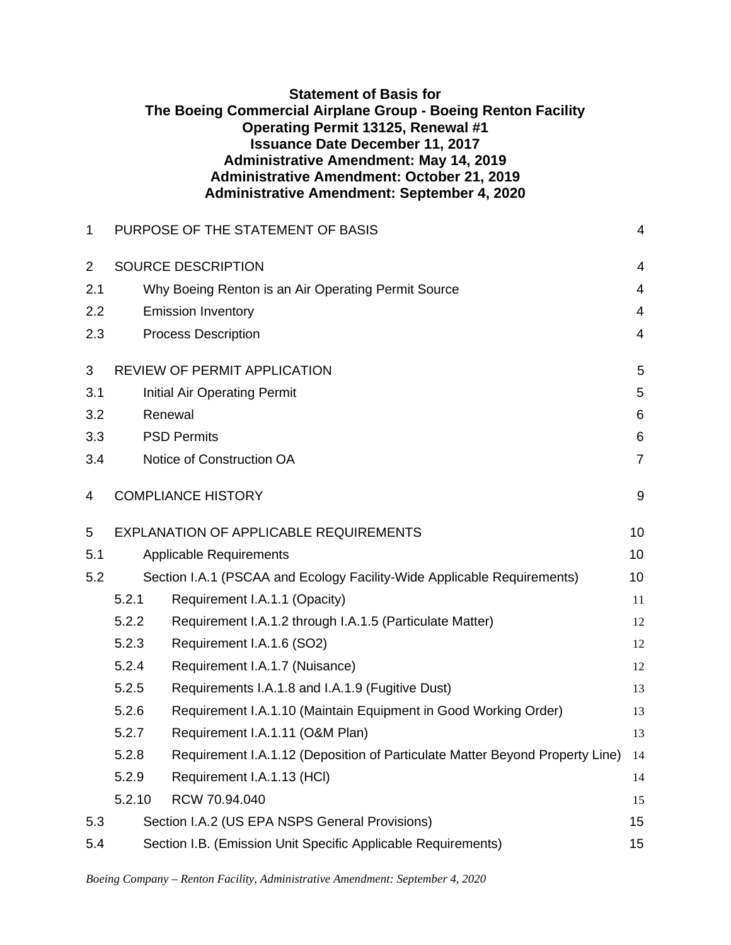| <b>Statement of Basis for</b>                                 |
|---------------------------------------------------------------|
| The Boeing Commercial Airplane Group - Boeing Renton Facility |
| <b>Operating Permit 13125, Renewal #1</b>                     |
| <b>Issuance Date December 11, 2017</b>                        |
| <b>Administrative Amendment: May 14, 2019</b>                 |
| <b>Administrative Amendment: October 21, 2019</b>             |
| <b>Administrative Amendment: September 4, 2020</b>            |

| 1              | PURPOSE OF THE STATEMENT OF BASIS                                   |                                                                              |                         |  |  |  |  |
|----------------|---------------------------------------------------------------------|------------------------------------------------------------------------------|-------------------------|--|--|--|--|
| $\overline{2}$ |                                                                     | SOURCE DESCRIPTION                                                           | $\overline{4}$          |  |  |  |  |
| 2.1            |                                                                     | Why Boeing Renton is an Air Operating Permit Source                          | 4                       |  |  |  |  |
| 2.2            |                                                                     | <b>Emission Inventory</b>                                                    | $\overline{\mathbf{4}}$ |  |  |  |  |
| 2.3            |                                                                     | <b>Process Description</b>                                                   | $\overline{4}$          |  |  |  |  |
| 3              |                                                                     | <b>REVIEW OF PERMIT APPLICATION</b>                                          | 5                       |  |  |  |  |
| 3.1            |                                                                     | <b>Initial Air Operating Permit</b>                                          | 5                       |  |  |  |  |
| 3.2            |                                                                     | Renewal                                                                      | 6                       |  |  |  |  |
| 3.3            |                                                                     | <b>PSD Permits</b>                                                           | $\,6$                   |  |  |  |  |
| 3.4            |                                                                     | Notice of Construction OA                                                    | $\overline{7}$          |  |  |  |  |
| 4              |                                                                     | <b>COMPLIANCE HISTORY</b>                                                    | $9\,$                   |  |  |  |  |
| 5              |                                                                     | <b>EXPLANATION OF APPLICABLE REQUIREMENTS</b>                                | 10                      |  |  |  |  |
| 5.1            |                                                                     | <b>Applicable Requirements</b>                                               | 10                      |  |  |  |  |
| 5.2            |                                                                     | Section I.A.1 (PSCAA and Ecology Facility-Wide Applicable Requirements)      | 10                      |  |  |  |  |
|                | 5.2.1                                                               | Requirement I.A.1.1 (Opacity)                                                | 11                      |  |  |  |  |
|                | 5.2.2                                                               | Requirement I.A.1.2 through I.A.1.5 (Particulate Matter)                     | 12                      |  |  |  |  |
|                | 5.2.3                                                               | Requirement I.A.1.6 (SO2)                                                    | 12                      |  |  |  |  |
|                | 5.2.4                                                               | Requirement I.A.1.7 (Nuisance)                                               | 12                      |  |  |  |  |
|                | 5.2.5                                                               | Requirements I.A.1.8 and I.A.1.9 (Fugitive Dust)                             | 13                      |  |  |  |  |
|                | 5.2.6                                                               | Requirement I.A.1.10 (Maintain Equipment in Good Working Order)              | 13                      |  |  |  |  |
|                | 5.2.7                                                               | Requirement I.A.1.11 (O&M Plan)                                              | 13                      |  |  |  |  |
|                | 5.2.8                                                               | Requirement I.A.1.12 (Deposition of Particulate Matter Beyond Property Line) | 14                      |  |  |  |  |
|                | 5.2.9                                                               | Requirement I.A.1.13 (HCI)                                                   | 14                      |  |  |  |  |
|                | 5.2.10                                                              | RCW 70.94.040                                                                | 15                      |  |  |  |  |
| 5.3            |                                                                     | Section I.A.2 (US EPA NSPS General Provisions)                               | 15                      |  |  |  |  |
| 5.4            | Section I.B. (Emission Unit Specific Applicable Requirements)<br>15 |                                                                              |                         |  |  |  |  |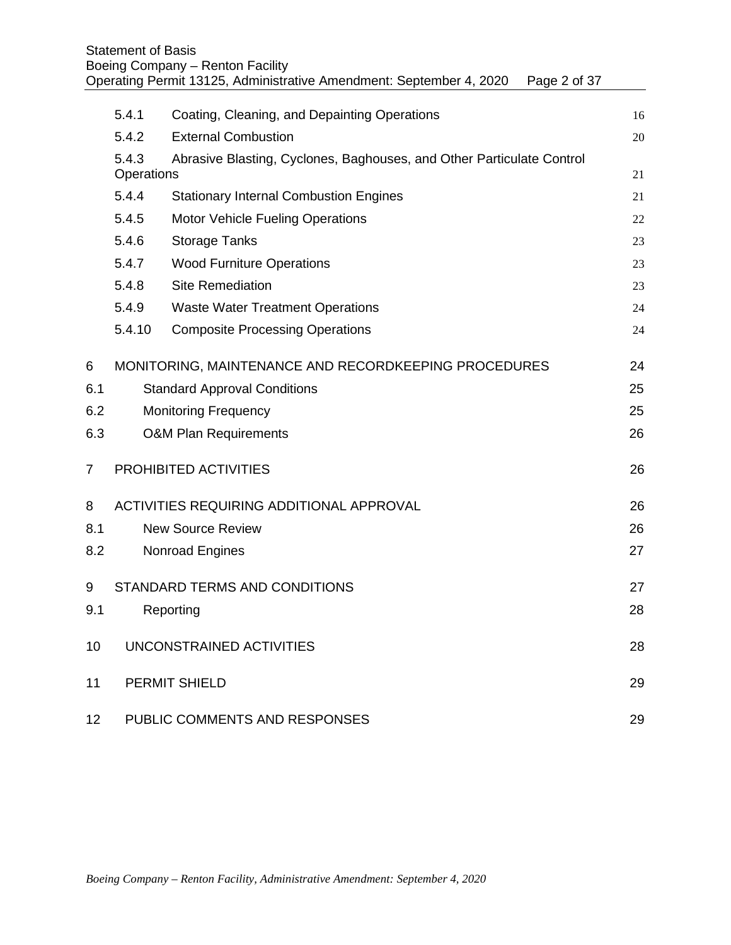|                | <b>Statement of Basis</b> | Boeing Company - Renton Facility<br>Operating Permit 13125, Administrative Amendment: September 4, 2020<br>Page 2 of 37 |    |
|----------------|---------------------------|-------------------------------------------------------------------------------------------------------------------------|----|
|                | 5.4.1                     | Coating, Cleaning, and Depainting Operations                                                                            | 16 |
|                | 5.4.2                     | <b>External Combustion</b>                                                                                              | 20 |
|                | 5.4.3                     | Abrasive Blasting, Cyclones, Baghouses, and Other Particulate Control                                                   |    |
|                | Operations                |                                                                                                                         | 21 |
|                | 5.4.4                     | <b>Stationary Internal Combustion Engines</b>                                                                           | 21 |
|                | 5.4.5                     | <b>Motor Vehicle Fueling Operations</b>                                                                                 | 22 |
|                | 5.4.6                     | <b>Storage Tanks</b>                                                                                                    | 23 |
|                | 5.4.7                     | <b>Wood Furniture Operations</b>                                                                                        | 23 |
|                | 5.4.8                     | <b>Site Remediation</b>                                                                                                 | 23 |
|                | 5.4.9                     | <b>Waste Water Treatment Operations</b>                                                                                 | 24 |
|                | 5.4.10                    | <b>Composite Processing Operations</b>                                                                                  | 24 |
| 6              |                           | MONITORING, MAINTENANCE AND RECORDKEEPING PROCEDURES                                                                    | 24 |
| 6.1            |                           | <b>Standard Approval Conditions</b>                                                                                     | 25 |
| 6.2            |                           | <b>Monitoring Frequency</b>                                                                                             | 25 |
| 6.3            |                           | <b>O&amp;M Plan Requirements</b>                                                                                        | 26 |
| $\overline{7}$ |                           | PROHIBITED ACTIVITIES                                                                                                   | 26 |
| 8              |                           | ACTIVITIES REQUIRING ADDITIONAL APPROVAL                                                                                | 26 |
| 8.1            |                           | <b>New Source Review</b>                                                                                                | 26 |
| 8.2            |                           | Nonroad Engines                                                                                                         | 27 |
| 9              |                           | STANDARD TERMS AND CONDITIONS                                                                                           | 27 |
| 9.1            |                           | Reporting                                                                                                               | 28 |
| 10             |                           | UNCONSTRAINED ACTIVITIES                                                                                                | 28 |
| 11             |                           | <b>PERMIT SHIELD</b>                                                                                                    | 29 |
| 12             |                           | PUBLIC COMMENTS AND RESPONSES                                                                                           | 29 |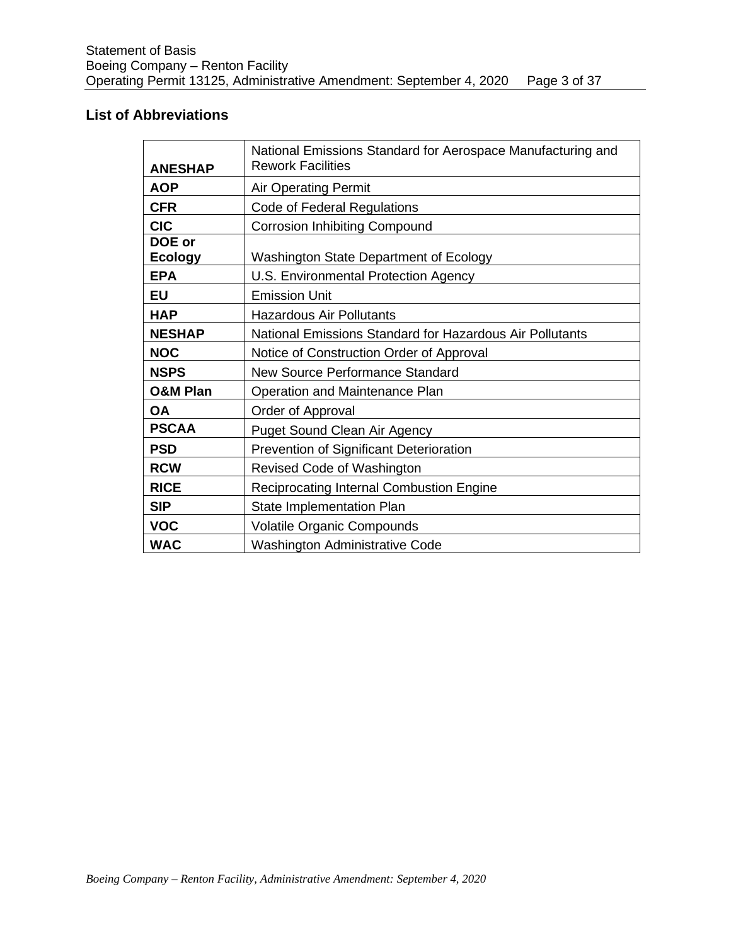# **List of Abbreviations**

| <b>ANESHAP</b>      | National Emissions Standard for Aerospace Manufacturing and<br><b>Rework Facilities</b> |  |  |  |  |
|---------------------|-----------------------------------------------------------------------------------------|--|--|--|--|
| <b>AOP</b>          | <b>Air Operating Permit</b>                                                             |  |  |  |  |
| <b>CFR</b>          | Code of Federal Regulations                                                             |  |  |  |  |
| <b>CIC</b>          | <b>Corrosion Inhibiting Compound</b>                                                    |  |  |  |  |
| DOE or<br>Ecology   | Washington State Department of Ecology                                                  |  |  |  |  |
| <b>EPA</b>          | U.S. Environmental Protection Agency                                                    |  |  |  |  |
| <b>EU</b>           | <b>Emission Unit</b>                                                                    |  |  |  |  |
| <b>HAP</b>          | <b>Hazardous Air Pollutants</b>                                                         |  |  |  |  |
| <b>NESHAP</b>       | National Emissions Standard for Hazardous Air Pollutants                                |  |  |  |  |
| <b>NOC</b>          | Notice of Construction Order of Approval                                                |  |  |  |  |
| <b>NSPS</b>         | <b>New Source Performance Standard</b>                                                  |  |  |  |  |
| <b>O&amp;M Plan</b> | Operation and Maintenance Plan                                                          |  |  |  |  |
| <b>OA</b>           | Order of Approval                                                                       |  |  |  |  |
| <b>PSCAA</b>        | <b>Puget Sound Clean Air Agency</b>                                                     |  |  |  |  |
| <b>PSD</b>          | <b>Prevention of Significant Deterioration</b>                                          |  |  |  |  |
| <b>RCW</b>          | Revised Code of Washington                                                              |  |  |  |  |
| <b>RICE</b>         | Reciprocating Internal Combustion Engine                                                |  |  |  |  |
| <b>SIP</b>          | State Implementation Plan                                                               |  |  |  |  |
| <b>VOC</b>          | <b>Volatile Organic Compounds</b>                                                       |  |  |  |  |
| <b>WAC</b>          | <b>Washington Administrative Code</b>                                                   |  |  |  |  |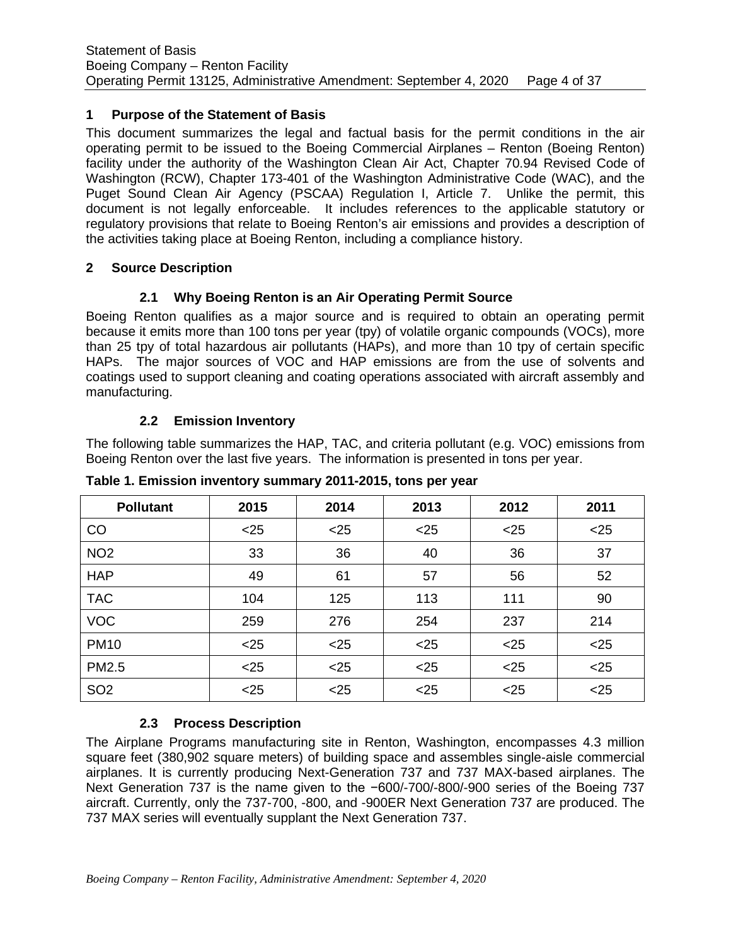## <span id="page-3-0"></span>**1 Purpose of the Statement of Basis**

This document summarizes the legal and factual basis for the permit conditions in the air operating permit to be issued to the Boeing Commercial Airplanes – Renton (Boeing Renton) facility under the authority of the Washington Clean Air Act, Chapter 70.94 Revised Code of Washington (RCW), Chapter 173-401 of the Washington Administrative Code (WAC), and the Puget Sound Clean Air Agency (PSCAA) Regulation I, Article 7. Unlike the permit, this document is not legally enforceable. It includes references to the applicable statutory or regulatory provisions that relate to Boeing Renton's air emissions and provides a description of the activities taking place at Boeing Renton, including a compliance history.

#### <span id="page-3-2"></span><span id="page-3-1"></span>**2 Source Description**

# **2.1 Why Boeing Renton is an Air Operating Permit Source**

Boeing Renton qualifies as a major source and is required to obtain an operating permit because it emits more than 100 tons per year (tpy) of volatile organic compounds (VOCs), more than 25 tpy of total hazardous air pollutants (HAPs), and more than 10 tpy of certain specific HAPs. The major sources of VOC and HAP emissions are from the use of solvents and coatings used to support cleaning and coating operations associated with aircraft assembly and manufacturing.

### **2.2 Emission Inventory**

<span id="page-3-3"></span>The following table summarizes the HAP, TAC, and criteria pollutant (e.g. VOC) emissions from Boeing Renton over the last five years. The information is presented in tons per year.

| <b>Pollutant</b> | 2015   | 2014   | 2013 | 2012   | 2011 |
|------------------|--------|--------|------|--------|------|
| CO               | $25$   | $<$ 25 | $25$ | $<$ 25 | $25$ |
| NO <sub>2</sub>  | 33     | 36     | 40   | 36     | 37   |
| <b>HAP</b>       | 49     | 61     | 57   | 56     | 52   |
| <b>TAC</b>       | 104    | 125    | 113  | 111    | 90   |
| <b>VOC</b>       | 259    | 276    | 254  | 237    | 214  |
| <b>PM10</b>      | $25$   | $<$ 25 | $25$ | $<$ 25 | $25$ |
| PM2.5            | $<$ 25 | $<$ 25 | $25$ | $<$ 25 | $25$ |
| SO <sub>2</sub>  | $25$   | $<$ 25 | $25$ | $<$ 25 | $25$ |

**Table 1. Emission inventory summary 2011-2015, tons per year**

# **2.3 Process Description**

<span id="page-3-4"></span>The Airplane Programs manufacturing site in Renton, Washington, encompasses 4.3 million square feet (380,902 square meters) of building space and assembles single-aisle commercial airplanes. It is currently producing Next-Generation 737 and 737 MAX-based airplanes. The Next Generation 737 is the name given to the −600/-700/-800/-900 series of the Boeing 737 aircraft. Currently, only the 737-700, -800, and -900ER Next Generation 737 are produced. The 737 MAX series will eventually supplant the Next Generation 737.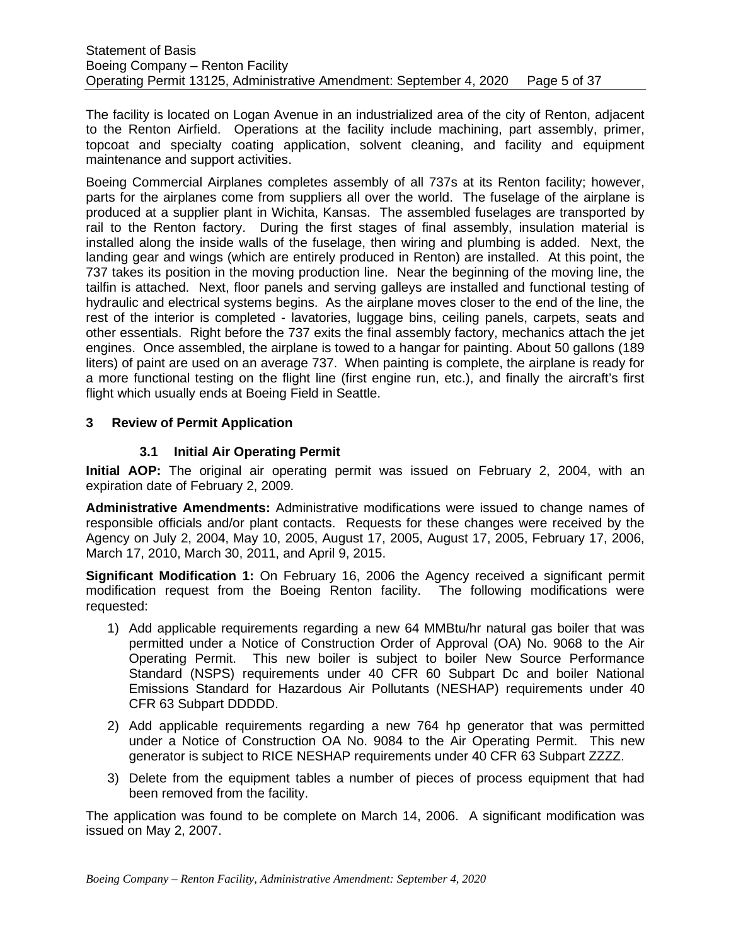The facility is located on Logan Avenue in an industrialized area of the city of Renton, adjacent to the Renton Airfield. Operations at the facility include machining, part assembly, primer, topcoat and specialty coating application, solvent cleaning, and facility and equipment maintenance and support activities.

Boeing Commercial Airplanes completes assembly of all 737s at its Renton facility; however, parts for the airplanes come from suppliers all over the world. The fuselage of the airplane is produced at a supplier plant in Wichita, Kansas. The assembled fuselages are transported by rail to the Renton factory. During the first stages of final assembly, insulation material is installed along the inside walls of the fuselage, then wiring and plumbing is added. Next, the landing gear and wings (which are entirely produced in Renton) are installed. At this point, the 737 takes its position in the moving production line. Near the beginning of the moving line, the tailfin is attached. Next, floor panels and serving galleys are installed and functional testing of hydraulic and electrical systems begins. As the airplane moves closer to the end of the line, the rest of the interior is completed - lavatories, luggage bins, ceiling panels, carpets, seats and other essentials. Right before the 737 exits the final assembly factory, mechanics attach the jet engines. Once assembled, the airplane is towed to a hangar for painting. About 50 gallons (189 liters) of paint are used on an average 737. When painting is complete, the airplane is ready for a more functional testing on the flight line (first engine run, etc.), and finally the aircraft's first flight which usually ends at Boeing Field in Seattle.

### <span id="page-4-1"></span><span id="page-4-0"></span>**3 Review of Permit Application**

# **3.1 Initial Air Operating Permit**

**Initial AOP:** The original air operating permit was issued on February 2, 2004, with an expiration date of February 2, 2009.

**Administrative Amendments:** Administrative modifications were issued to change names of responsible officials and/or plant contacts. Requests for these changes were received by the Agency on July 2, 2004, May 10, 2005, August 17, 2005, August 17, 2005, February 17, 2006, March 17, 2010, March 30, 2011, and April 9, 2015.

**Significant Modification 1:** On February 16, 2006 the Agency received a significant permit modification request from the Boeing Renton facility. The following modifications were requested:

- 1) Add applicable requirements regarding a new 64 MMBtu/hr natural gas boiler that was permitted under a Notice of Construction Order of Approval (OA) No. 9068 to the Air Operating Permit. This new boiler is subject to boiler New Source Performance Standard (NSPS) requirements under 40 CFR 60 Subpart Dc and boiler National Emissions Standard for Hazardous Air Pollutants (NESHAP) requirements under 40 CFR 63 Subpart DDDDD.
- 2) Add applicable requirements regarding a new 764 hp generator that was permitted under a Notice of Construction OA No. 9084 to the Air Operating Permit. This new generator is subject to RICE NESHAP requirements under 40 CFR 63 Subpart ZZZZ.
- 3) Delete from the equipment tables a number of pieces of process equipment that had been removed from the facility.

The application was found to be complete on March 14, 2006. A significant modification was issued on May 2, 2007.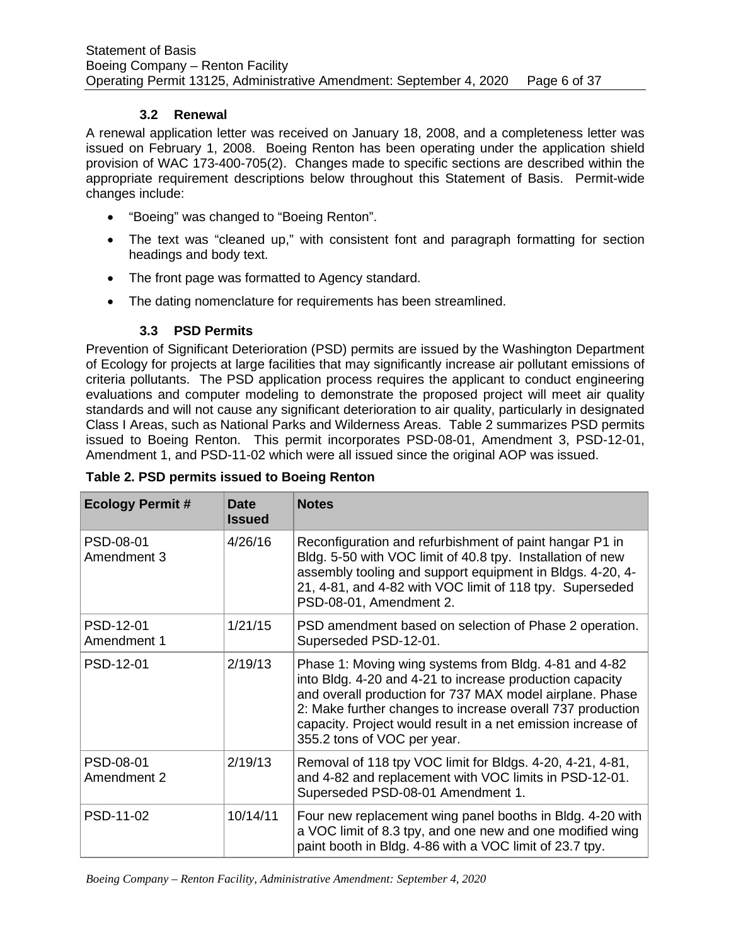### **3.2 Renewal**

<span id="page-5-0"></span>A renewal application letter was received on January 18, 2008, and a completeness letter was issued on February 1, 2008. Boeing Renton has been operating under the application shield provision of WAC 173-400-705(2). Changes made to specific sections are described within the appropriate requirement descriptions below throughout this Statement of Basis. Permit-wide changes include:

- "Boeing" was changed to "Boeing Renton".
- The text was "cleaned up," with consistent font and paragraph formatting for section headings and body text.
- The front page was formatted to Agency standard.
- The dating nomenclature for requirements has been streamlined.

### **3.3 PSD Permits**

<span id="page-5-1"></span>Prevention of Significant Deterioration (PSD) permits are issued by the Washington Department of Ecology for projects at large facilities that may significantly increase air pollutant emissions of criteria pollutants. The PSD application process requires the applicant to conduct engineering evaluations and computer modeling to demonstrate the proposed project will meet air quality standards and will not cause any significant deterioration to air quality, particularly in designated Class I Areas, such as National Parks and Wilderness Areas. Table 2 summarizes PSD permits issued to Boeing Renton. This permit incorporates PSD-08-01, Amendment 3, PSD-12-01, Amendment 1, and PSD-11-02 which were all issued since the original AOP was issued.

| <b>Ecology Permit#</b>   | <b>Date</b><br><b>Issued</b> | <b>Notes</b>                                                                                                                                                                                                                                                                                                                               |
|--------------------------|------------------------------|--------------------------------------------------------------------------------------------------------------------------------------------------------------------------------------------------------------------------------------------------------------------------------------------------------------------------------------------|
| PSD-08-01<br>Amendment 3 | 4/26/16                      | Reconfiguration and refurbishment of paint hangar P1 in<br>Bldg. 5-50 with VOC limit of 40.8 tpy. Installation of new<br>assembly tooling and support equipment in Bldgs. 4-20, 4-<br>21, 4-81, and 4-82 with VOC limit of 118 tpy. Superseded<br>PSD-08-01, Amendment 2.                                                                  |
| PSD-12-01<br>Amendment 1 | 1/21/15                      | PSD amendment based on selection of Phase 2 operation.<br>Superseded PSD-12-01.                                                                                                                                                                                                                                                            |
| PSD-12-01                | 2/19/13                      | Phase 1: Moving wing systems from Bldg. 4-81 and 4-82<br>into Bldg. 4-20 and 4-21 to increase production capacity<br>and overall production for 737 MAX model airplane. Phase<br>2: Make further changes to increase overall 737 production<br>capacity. Project would result in a net emission increase of<br>355.2 tons of VOC per year. |
| PSD-08-01<br>Amendment 2 | 2/19/13                      | Removal of 118 tpy VOC limit for Bldgs. 4-20, 4-21, 4-81,<br>and 4-82 and replacement with VOC limits in PSD-12-01.<br>Superseded PSD-08-01 Amendment 1.                                                                                                                                                                                   |
| PSD-11-02                | 10/14/11                     | Four new replacement wing panel booths in Bldg. 4-20 with<br>a VOC limit of 8.3 tpy, and one new and one modified wing<br>paint booth in Bldg. 4-86 with a VOC limit of 23.7 tpy.                                                                                                                                                          |

**Table 2. PSD permits issued to Boeing Renton**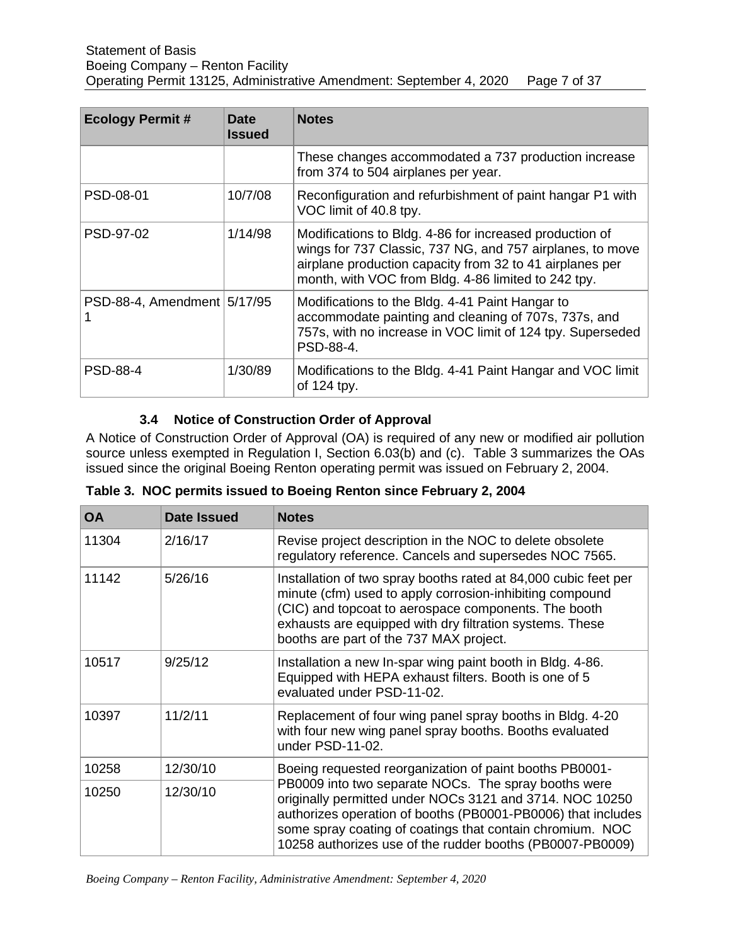| <b>Ecology Permit#</b>        | <b>Date</b><br>Issued | <b>Notes</b>                                                                                                                                                                                                                            |
|-------------------------------|-----------------------|-----------------------------------------------------------------------------------------------------------------------------------------------------------------------------------------------------------------------------------------|
|                               |                       | These changes accommodated a 737 production increase<br>from 374 to 504 airplanes per year.                                                                                                                                             |
| PSD-08-01                     | 10/7/08               | Reconfiguration and refurbishment of paint hangar P1 with<br>VOC limit of 40.8 tpy.                                                                                                                                                     |
| PSD-97-02                     | 1/14/98               | Modifications to Bldg. 4-86 for increased production of<br>wings for 737 Classic, 737 NG, and 757 airplanes, to move<br>airplane production capacity from 32 to 41 airplanes per<br>month, with VOC from Bldg. 4-86 limited to 242 tpy. |
| PSD-88-4, Amendment   5/17/95 |                       | Modifications to the Bldg. 4-41 Paint Hangar to<br>accommodate painting and cleaning of 707s, 737s, and<br>757s, with no increase in VOC limit of 124 tpy. Superseded<br>PSD-88-4.                                                      |
| <b>PSD-88-4</b>               | 1/30/89               | Modifications to the Bldg. 4-41 Paint Hangar and VOC limit<br>of $124$ tpy.                                                                                                                                                             |

# **3.4 Notice of Construction Order of Approval**

<span id="page-6-0"></span>A Notice of Construction Order of Approval (OA) is required of any new or modified air pollution source unless exempted in Regulation I, Section 6.03(b) and (c). Table 3 summarizes the OAs issued since the original Boeing Renton operating permit was issued on February 2, 2004.

|  |  |  |  | Table 3. NOC permits issued to Boeing Renton since February 2, 2004 |
|--|--|--|--|---------------------------------------------------------------------|
|--|--|--|--|---------------------------------------------------------------------|

| <b>OA</b> | Date Issued | <b>Notes</b>                                                                                                                                                                                                                                                                                               |
|-----------|-------------|------------------------------------------------------------------------------------------------------------------------------------------------------------------------------------------------------------------------------------------------------------------------------------------------------------|
| 11304     | 2/16/17     | Revise project description in the NOC to delete obsolete<br>regulatory reference. Cancels and supersedes NOC 7565.                                                                                                                                                                                         |
| 11142     | 5/26/16     | Installation of two spray booths rated at 84,000 cubic feet per<br>minute (cfm) used to apply corrosion-inhibiting compound<br>(CIC) and topcoat to aerospace components. The booth<br>exhausts are equipped with dry filtration systems. These<br>booths are part of the 737 MAX project.                 |
| 10517     | 9/25/12     | Installation a new In-spar wing paint booth in Bldg. 4-86.<br>Equipped with HEPA exhaust filters. Booth is one of 5<br>evaluated under PSD-11-02.                                                                                                                                                          |
| 10397     | 11/2/11     | Replacement of four wing panel spray booths in Bldg. 4-20<br>with four new wing panel spray booths. Booths evaluated<br>under PSD-11-02.                                                                                                                                                                   |
| 10258     | 12/30/10    | Boeing requested reorganization of paint booths PB0001-                                                                                                                                                                                                                                                    |
| 10250     | 12/30/10    | PB0009 into two separate NOCs. The spray booths were<br>originally permitted under NOCs 3121 and 3714. NOC 10250<br>authorizes operation of booths (PB0001-PB0006) that includes<br>some spray coating of coatings that contain chromium. NOC<br>10258 authorizes use of the rudder booths (PB0007-PB0009) |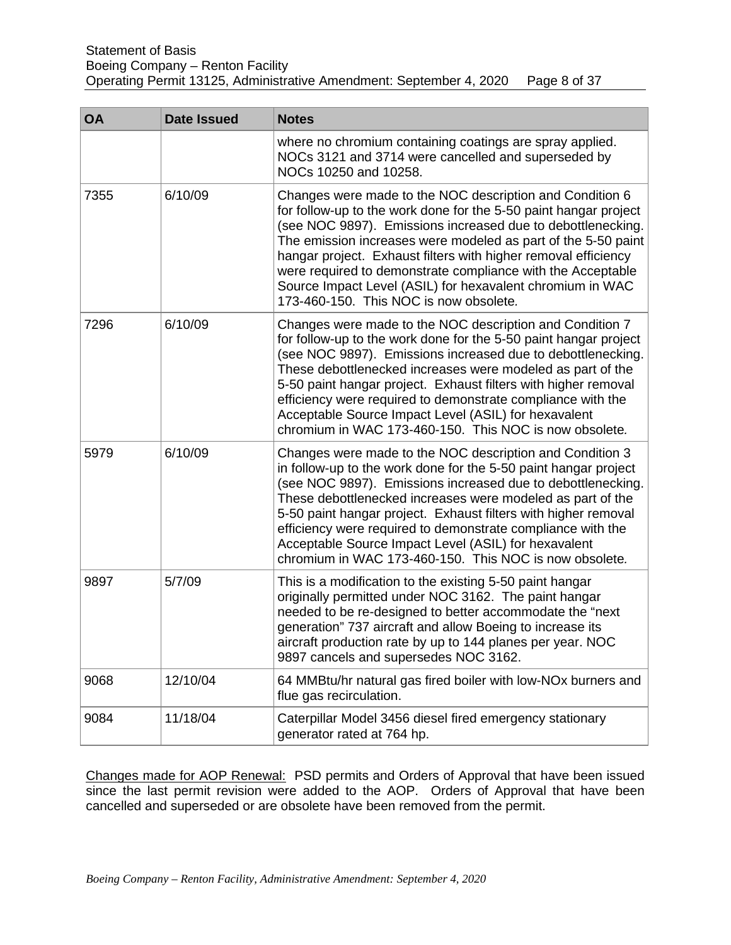| <b>OA</b> | <b>Date Issued</b> | <b>Notes</b>                                                                                                                                                                                                                                                                                                                                                                                                                                                                                                 |
|-----------|--------------------|--------------------------------------------------------------------------------------------------------------------------------------------------------------------------------------------------------------------------------------------------------------------------------------------------------------------------------------------------------------------------------------------------------------------------------------------------------------------------------------------------------------|
|           |                    | where no chromium containing coatings are spray applied.<br>NOCs 3121 and 3714 were cancelled and superseded by<br>NOCs 10250 and 10258.                                                                                                                                                                                                                                                                                                                                                                     |
| 7355      | 6/10/09            | Changes were made to the NOC description and Condition 6<br>for follow-up to the work done for the 5-50 paint hangar project<br>(see NOC 9897). Emissions increased due to debottlenecking.<br>The emission increases were modeled as part of the 5-50 paint<br>hangar project. Exhaust filters with higher removal efficiency<br>were required to demonstrate compliance with the Acceptable<br>Source Impact Level (ASIL) for hexavalent chromium in WAC<br>173-460-150. This NOC is now obsolete.         |
| 7296      | 6/10/09            | Changes were made to the NOC description and Condition 7<br>for follow-up to the work done for the 5-50 paint hangar project<br>(see NOC 9897). Emissions increased due to debottlenecking.<br>These debottlenecked increases were modeled as part of the<br>5-50 paint hangar project. Exhaust filters with higher removal<br>efficiency were required to demonstrate compliance with the<br>Acceptable Source Impact Level (ASIL) for hexavalent<br>chromium in WAC 173-460-150. This NOC is now obsolete. |
| 5979      | 6/10/09            | Changes were made to the NOC description and Condition 3<br>in follow-up to the work done for the 5-50 paint hangar project<br>(see NOC 9897). Emissions increased due to debottlenecking.<br>These debottlenecked increases were modeled as part of the<br>5-50 paint hangar project. Exhaust filters with higher removal<br>efficiency were required to demonstrate compliance with the<br>Acceptable Source Impact Level (ASIL) for hexavalent<br>chromium in WAC 173-460-150. This NOC is now obsolete.  |
| 9897      | 5/7/09             | This is a modification to the existing 5-50 paint hangar<br>originally permitted under NOC 3162. The paint hangar<br>needed to be re-designed to better accommodate the "next<br>generation" 737 aircraft and allow Boeing to increase its<br>aircraft production rate by up to 144 planes per year. NOC<br>9897 cancels and supersedes NOC 3162.                                                                                                                                                            |
| 9068      | 12/10/04           | 64 MMBtu/hr natural gas fired boiler with low-NO <sub>x</sub> burners and<br>flue gas recirculation.                                                                                                                                                                                                                                                                                                                                                                                                         |
| 9084      | 11/18/04           | Caterpillar Model 3456 diesel fired emergency stationary<br>generator rated at 764 hp.                                                                                                                                                                                                                                                                                                                                                                                                                       |

Changes made for AOP Renewal: PSD permits and Orders of Approval that have been issued since the last permit revision were added to the AOP. Orders of Approval that have been cancelled and superseded or are obsolete have been removed from the permit.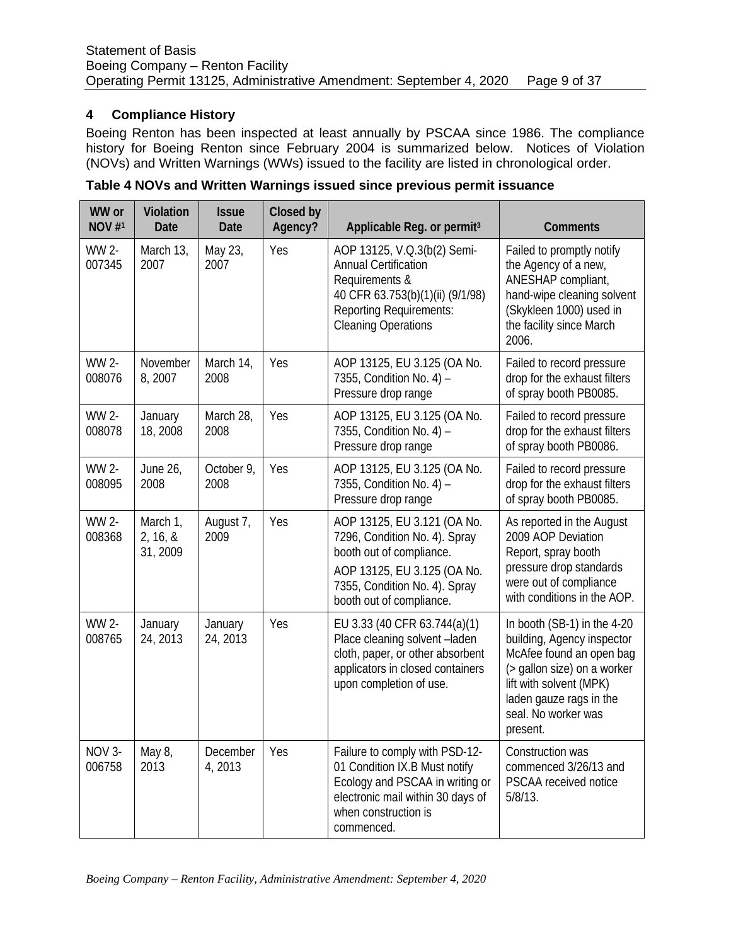# <span id="page-8-0"></span>**4 Compliance History**

Boeing Renton has been inspected at least annually by PSCAA since 1986. The compliance history for Boeing Renton since February 2004 is summarized below. Notices of Violation (NOVs) and Written Warnings (WWs) issued to the facility are listed in chronological order.

| WW or<br>NOV $#1$ | Violation<br><b>Date</b>         | <b>Issue</b><br>Date | Closed by<br>Agency? | Applicable Reg. or permit <sup>3</sup>                                                                                                                                               | <b>Comments</b>                                                                                                                                                                                               |
|-------------------|----------------------------------|----------------------|----------------------|--------------------------------------------------------------------------------------------------------------------------------------------------------------------------------------|---------------------------------------------------------------------------------------------------------------------------------------------------------------------------------------------------------------|
| WW 2-<br>007345   | March 13,<br>2007                | May 23,<br>2007      | Yes                  | AOP 13125, V.Q.3(b(2) Semi-<br><b>Annual Certification</b><br>Requirements &<br>40 CFR 63.753(b)(1)(ii) (9/1/98)<br><b>Reporting Requirements:</b><br><b>Cleaning Operations</b>     | Failed to promptly notify<br>the Agency of a new,<br>ANESHAP compliant,<br>hand-wipe cleaning solvent<br>(Skykleen 1000) used in<br>the facility since March<br>2006.                                         |
| WW 2-<br>008076   | November<br>8,2007               | March 14,<br>2008    | Yes                  | AOP 13125, EU 3.125 (OA No.<br>7355, Condition No. 4) -<br>Pressure drop range                                                                                                       | Failed to record pressure<br>drop for the exhaust filters<br>of spray booth PB0085.                                                                                                                           |
| WW 2-<br>008078   | January<br>18,2008               | March 28,<br>2008    | Yes                  | AOP 13125, EU 3.125 (OA No.<br>7355, Condition No. 4) -<br>Pressure drop range                                                                                                       | Failed to record pressure<br>drop for the exhaust filters<br>of spray booth PB0086.                                                                                                                           |
| WW 2-<br>008095   | June 26,<br>2008                 | October 9,<br>2008   | Yes                  | AOP 13125, EU 3.125 (OA No.<br>7355, Condition No. 4) -<br>Pressure drop range                                                                                                       | Failed to record pressure<br>drop for the exhaust filters<br>of spray booth PB0085.                                                                                                                           |
| WW 2-<br>008368   | March 1,<br>2, 16, 8<br>31, 2009 | August 7,<br>2009    | Yes                  | AOP 13125, EU 3.121 (OA No.<br>7296, Condition No. 4). Spray<br>booth out of compliance.<br>AOP 13125, EU 3.125 (OA No.<br>7355, Condition No. 4). Spray<br>booth out of compliance. | As reported in the August<br>2009 AOP Deviation<br>Report, spray booth<br>pressure drop standards<br>were out of compliance<br>with conditions in the AOP.                                                    |
| WW 2-<br>008765   | January<br>24, 2013              | January<br>24, 2013  | Yes                  | EU 3.33 (40 CFR 63.744(a)(1)<br>Place cleaning solvent -laden<br>cloth, paper, or other absorbent<br>applicators in closed containers<br>upon completion of use.                     | In booth (SB-1) in the 4-20<br>building, Agency inspector<br>McAfee found an open bag<br>(> gallon size) on a worker<br>lift with solvent (MPK)<br>laden gauze rags in the<br>seal. No worker was<br>present. |
| NOV 3-<br>006758  | May 8,<br>2013                   | December<br>4, 2013  | Yes                  | Failure to comply with PSD-12-<br>01 Condition IX.B Must notify<br>Ecology and PSCAA in writing or<br>electronic mail within 30 days of<br>when construction is<br>commenced.        | Construction was<br>commenced 3/26/13 and<br>PSCAA received notice<br>$5/8/13$ .                                                                                                                              |

**Table 4 NOVs and Written Warnings issued since previous permit issuance**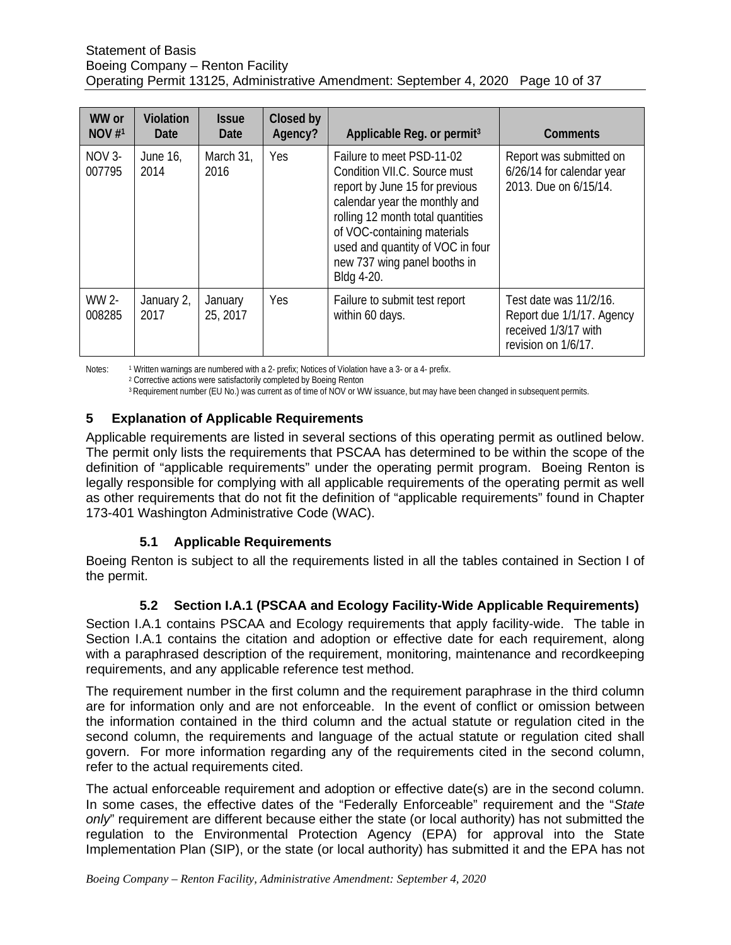#### Statement of Basis Boeing Company – Renton Facility Operating Permit 13125, Administrative Amendment: September 4, 2020 Page 10 of 37

| WW or<br>NOV#1     | Violation<br>Date  | <i><b>Issue</b></i><br>Date | Closed by<br>Agency? | Applicable Reg. or permit <sup>3</sup>                                                                                                                                                                                                                                             | <b>Comments</b>                                                                                    |
|--------------------|--------------------|-----------------------------|----------------------|------------------------------------------------------------------------------------------------------------------------------------------------------------------------------------------------------------------------------------------------------------------------------------|----------------------------------------------------------------------------------------------------|
| $NOV$ 3-<br>007795 | June 16,<br>2014   | March 31,<br>2016           | <b>Yes</b>           | Failure to meet PSD-11-02<br>Condition VII.C. Source must<br>report by June 15 for previous<br>calendar year the monthly and<br>rolling 12 month total quantities<br>of VOC-containing materials<br>used and quantity of VOC in four<br>new 737 wing panel booths in<br>Bldg 4-20. | Report was submitted on<br>6/26/14 for calendar year<br>2013. Due on 6/15/14.                      |
| WW 2-<br>008285    | January 2,<br>2017 | January<br>25, 2017         | Yes                  | Failure to submit test report<br>within 60 days.                                                                                                                                                                                                                                   | Test date was 11/2/16.<br>Report due 1/1/17. Agency<br>received 1/3/17 with<br>revision on 1/6/17. |

Notes: <sup>1</sup> Written warnings are numbered with a 2- prefix; Notices of Violation have a 3- or a 4- prefix.

<sup>2</sup> Corrective actions were satisfactorily completed by Boeing Renton

<sup>3</sup> Requirement number (EU No.) was current as of time of NOV or WW issuance, but may have been changed in subsequent permits.

### <span id="page-9-0"></span>**5 Explanation of Applicable Requirements**

Applicable requirements are listed in several sections of this operating permit as outlined below. The permit only lists the requirements that PSCAA has determined to be within the scope of the definition of "applicable requirements" under the operating permit program. Boeing Renton is legally responsible for complying with all applicable requirements of the operating permit as well as other requirements that do not fit the definition of "applicable requirements" found in Chapter 173-401 Washington Administrative Code (WAC).

# **5.1 Applicable Requirements**

<span id="page-9-1"></span>Boeing Renton is subject to all the requirements listed in all the tables contained in Section I of the permit.

# **5.2 Section I.A.1 (PSCAA and Ecology Facility-Wide Applicable Requirements)**

<span id="page-9-2"></span>Section I.A.1 contains PSCAA and Ecology requirements that apply facility-wide. The table in Section I.A.1 contains the citation and adoption or effective date for each requirement, along with a paraphrased description of the requirement, monitoring, maintenance and recordkeeping requirements, and any applicable reference test method.

The requirement number in the first column and the requirement paraphrase in the third column are for information only and are not enforceable. In the event of conflict or omission between the information contained in the third column and the actual statute or regulation cited in the second column, the requirements and language of the actual statute or regulation cited shall govern. For more information regarding any of the requirements cited in the second column, refer to the actual requirements cited.

The actual enforceable requirement and adoption or effective date(s) are in the second column. In some cases, the effective dates of the "Federally Enforceable" requirement and the "*State only*" requirement are different because either the state (or local authority) has not submitted the regulation to the Environmental Protection Agency (EPA) for approval into the State Implementation Plan (SIP), or the state (or local authority) has submitted it and the EPA has not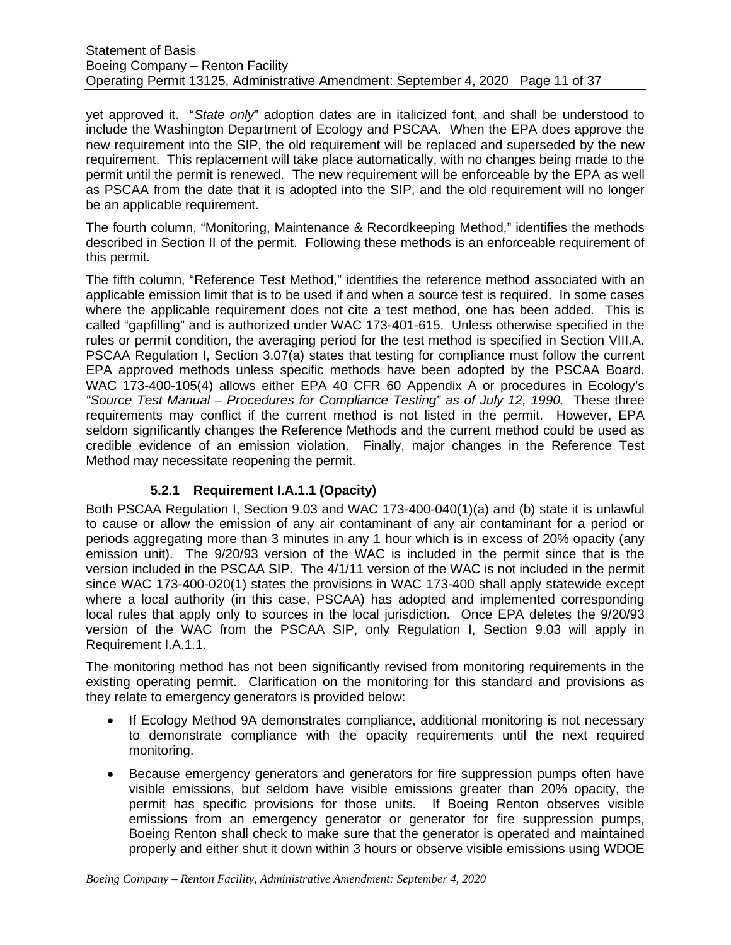yet approved it. "*State only*" adoption dates are in italicized font, and shall be understood to include the Washington Department of Ecology and PSCAA. When the EPA does approve the new requirement into the SIP, the old requirement will be replaced and superseded by the new requirement. This replacement will take place automatically, with no changes being made to the permit until the permit is renewed. The new requirement will be enforceable by the EPA as well as PSCAA from the date that it is adopted into the SIP, and the old requirement will no longer be an applicable requirement.

The fourth column, "Monitoring, Maintenance & Recordkeeping Method," identifies the methods described in Section II of the permit. Following these methods is an enforceable requirement of this permit.

The fifth column, "Reference Test Method," identifies the reference method associated with an applicable emission limit that is to be used if and when a source test is required. In some cases where the applicable requirement does not cite a test method, one has been added. This is called "gapfilling" and is authorized under WAC 173-401-615. Unless otherwise specified in the rules or permit condition, the averaging period for the test method is specified in Section VIII.A. PSCAA Regulation I, Section 3.07(a) states that testing for compliance must follow the current EPA approved methods unless specific methods have been adopted by the PSCAA Board. WAC 173-400-105(4) allows either EPA 40 CFR 60 Appendix A or procedures in Ecology's *"Source Test Manual – Procedures for Compliance Testing" as of July 12, 1990.* These three requirements may conflict if the current method is not listed in the permit. However, EPA seldom significantly changes the Reference Methods and the current method could be used as credible evidence of an emission violation. Finally, major changes in the Reference Test Method may necessitate reopening the permit.

# **5.2.1 Requirement I.A.1.1 (Opacity)**

<span id="page-10-0"></span>Both PSCAA Regulation I, Section 9.03 and WAC 173-400-040(1)(a) and (b) state it is unlawful to cause or allow the emission of any air contaminant of any air contaminant for a period or periods aggregating more than 3 minutes in any 1 hour which is in excess of 20% opacity (any emission unit). The 9/20/93 version of the WAC is included in the permit since that is the version included in the PSCAA SIP. The 4/1/11 version of the WAC is not included in the permit since WAC 173-400-020(1) states the provisions in WAC 173-400 shall apply statewide except where a local authority (in this case, PSCAA) has adopted and implemented corresponding local rules that apply only to sources in the local jurisdiction. Once EPA deletes the 9/20/93 version of the WAC from the PSCAA SIP, only Regulation I, Section 9.03 will apply in Requirement I.A.1.1.

The monitoring method has not been significantly revised from monitoring requirements in the existing operating permit. Clarification on the monitoring for this standard and provisions as they relate to emergency generators is provided below:

- If Ecology Method 9A demonstrates compliance, additional monitoring is not necessary to demonstrate compliance with the opacity requirements until the next required monitoring.
- Because emergency generators and generators for fire suppression pumps often have visible emissions, but seldom have visible emissions greater than 20% opacity, the permit has specific provisions for those units. If Boeing Renton observes visible emissions from an emergency generator or generator for fire suppression pumps, Boeing Renton shall check to make sure that the generator is operated and maintained properly and either shut it down within 3 hours or observe visible emissions using WDOE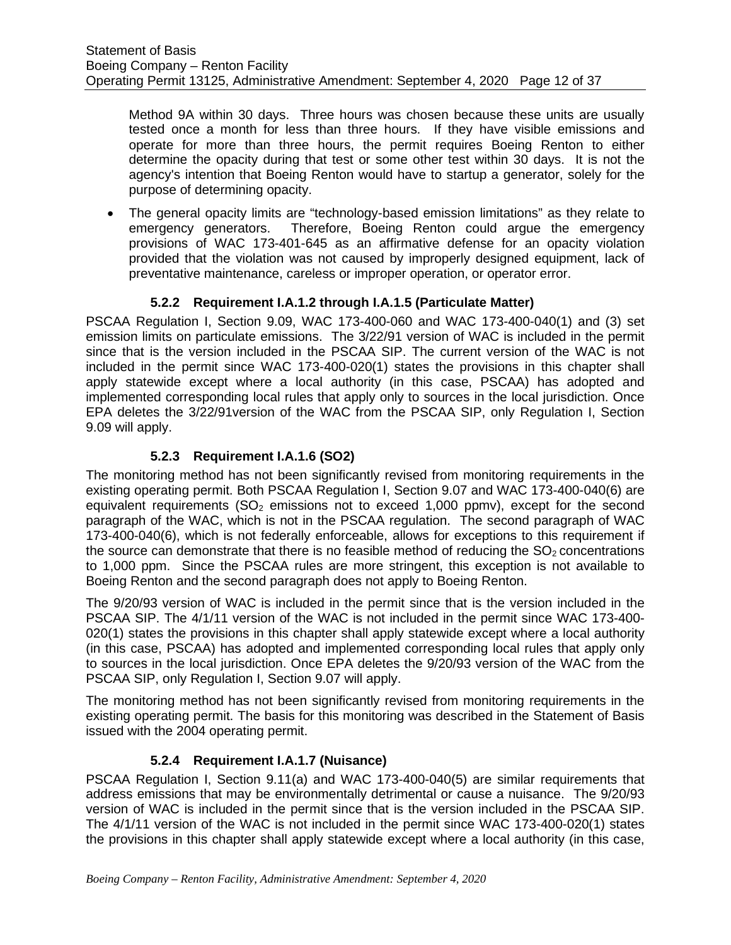Method 9A within 30 days. Three hours was chosen because these units are usually tested once a month for less than three hours. If they have visible emissions and operate for more than three hours, the permit requires Boeing Renton to either determine the opacity during that test or some other test within 30 days. It is not the agency's intention that Boeing Renton would have to startup a generator, solely for the purpose of determining opacity.

• The general opacity limits are "technology-based emission limitations" as they relate to emergency generators. Therefore, Boeing Renton could argue the emergency provisions of WAC 173-401-645 as an affirmative defense for an opacity violation provided that the violation was not caused by improperly designed equipment, lack of preventative maintenance, careless or improper operation, or operator error.

# **5.2.2 Requirement I.A.1.2 through I.A.1.5 (Particulate Matter)**

<span id="page-11-0"></span>PSCAA Regulation I, Section 9.09, WAC 173-400-060 and WAC 173-400-040(1) and (3) set emission limits on particulate emissions. The 3/22/91 version of WAC is included in the permit since that is the version included in the PSCAA SIP. The current version of the WAC is not included in the permit since WAC 173-400-020(1) states the provisions in this chapter shall apply statewide except where a local authority (in this case, PSCAA) has adopted and implemented corresponding local rules that apply only to sources in the local jurisdiction. Once EPA deletes the 3/22/91version of the WAC from the PSCAA SIP, only Regulation I, Section 9.09 will apply.

# **5.2.3 Requirement I.A.1.6 (SO2)**

<span id="page-11-1"></span>The monitoring method has not been significantly revised from monitoring requirements in the existing operating permit. Both PSCAA Regulation I, Section 9.07 and WAC 173-400-040(6) are equivalent requirements  $(SO<sub>2</sub>$  emissions not to exceed 1,000 ppmv), except for the second paragraph of the WAC, which is not in the PSCAA regulation. The second paragraph of WAC 173-400-040(6), which is not federally enforceable, allows for exceptions to this requirement if the source can demonstrate that there is no feasible method of reducing the  $SO<sub>2</sub>$  concentrations to 1,000 ppm. Since the PSCAA rules are more stringent, this exception is not available to Boeing Renton and the second paragraph does not apply to Boeing Renton.

The 9/20/93 version of WAC is included in the permit since that is the version included in the PSCAA SIP. The 4/1/11 version of the WAC is not included in the permit since WAC 173-400- 020(1) states the provisions in this chapter shall apply statewide except where a local authority (in this case, PSCAA) has adopted and implemented corresponding local rules that apply only to sources in the local jurisdiction. Once EPA deletes the 9/20/93 version of the WAC from the PSCAA SIP, only Regulation I, Section 9.07 will apply.

The monitoring method has not been significantly revised from monitoring requirements in the existing operating permit. The basis for this monitoring was described in the Statement of Basis issued with the 2004 operating permit.

# **5.2.4 Requirement I.A.1.7 (Nuisance)**

<span id="page-11-2"></span>PSCAA Regulation I, Section 9.11(a) and WAC 173-400-040(5) are similar requirements that address emissions that may be environmentally detrimental or cause a nuisance. The 9/20/93 version of WAC is included in the permit since that is the version included in the PSCAA SIP. The 4/1/11 version of the WAC is not included in the permit since WAC 173-400-020(1) states the provisions in this chapter shall apply statewide except where a local authority (in this case,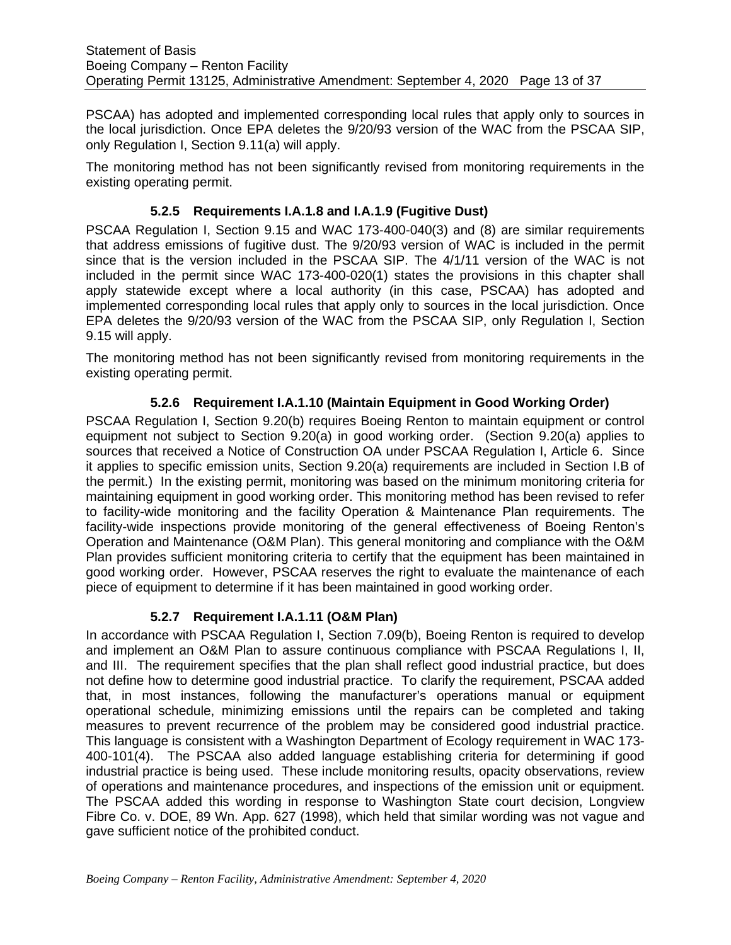PSCAA) has adopted and implemented corresponding local rules that apply only to sources in the local jurisdiction. Once EPA deletes the 9/20/93 version of the WAC from the PSCAA SIP, only Regulation I, Section 9.11(a) will apply.

The monitoring method has not been significantly revised from monitoring requirements in the existing operating permit.

## **5.2.5 Requirements I.A.1.8 and I.A.1.9 (Fugitive Dust)**

<span id="page-12-0"></span>PSCAA Regulation I, Section 9.15 and WAC 173-400-040(3) and (8) are similar requirements that address emissions of fugitive dust. The 9/20/93 version of WAC is included in the permit since that is the version included in the PSCAA SIP. The 4/1/11 version of the WAC is not included in the permit since WAC 173-400-020(1) states the provisions in this chapter shall apply statewide except where a local authority (in this case, PSCAA) has adopted and implemented corresponding local rules that apply only to sources in the local jurisdiction. Once EPA deletes the 9/20/93 version of the WAC from the PSCAA SIP, only Regulation I, Section 9.15 will apply.

The monitoring method has not been significantly revised from monitoring requirements in the existing operating permit.

### **5.2.6 Requirement I.A.1.10 (Maintain Equipment in Good Working Order)**

<span id="page-12-1"></span>PSCAA Regulation I, Section 9.20(b) requires Boeing Renton to maintain equipment or control equipment not subject to Section 9.20(a) in good working order. (Section 9.20(a) applies to sources that received a Notice of Construction OA under PSCAA Regulation I, Article 6. Since it applies to specific emission units, Section 9.20(a) requirements are included in Section I.B of the permit.) In the existing permit, monitoring was based on the minimum monitoring criteria for maintaining equipment in good working order. This monitoring method has been revised to refer to facility-wide monitoring and the facility Operation & Maintenance Plan requirements. The facility-wide inspections provide monitoring of the general effectiveness of Boeing Renton's Operation and Maintenance (O&M Plan). This general monitoring and compliance with the O&M Plan provides sufficient monitoring criteria to certify that the equipment has been maintained in good working order. However, PSCAA reserves the right to evaluate the maintenance of each piece of equipment to determine if it has been maintained in good working order.

#### **5.2.7 Requirement I.A.1.11 (O&M Plan)**

<span id="page-12-2"></span>In accordance with PSCAA Regulation I, Section 7.09(b), Boeing Renton is required to develop and implement an O&M Plan to assure continuous compliance with PSCAA Regulations I, II, and III. The requirement specifies that the plan shall reflect good industrial practice, but does not define how to determine good industrial practice. To clarify the requirement, PSCAA added that, in most instances, following the manufacturer's operations manual or equipment operational schedule, minimizing emissions until the repairs can be completed and taking measures to prevent recurrence of the problem may be considered good industrial practice. This language is consistent with a Washington Department of Ecology requirement in WAC 173- 400-101(4). The PSCAA also added language establishing criteria for determining if good industrial practice is being used. These include monitoring results, opacity observations, review of operations and maintenance procedures, and inspections of the emission unit or equipment. The PSCAA added this wording in response to Washington State court decision, Longview Fibre Co. v. DOE, 89 Wn. App. 627 (1998), which held that similar wording was not vague and gave sufficient notice of the prohibited conduct.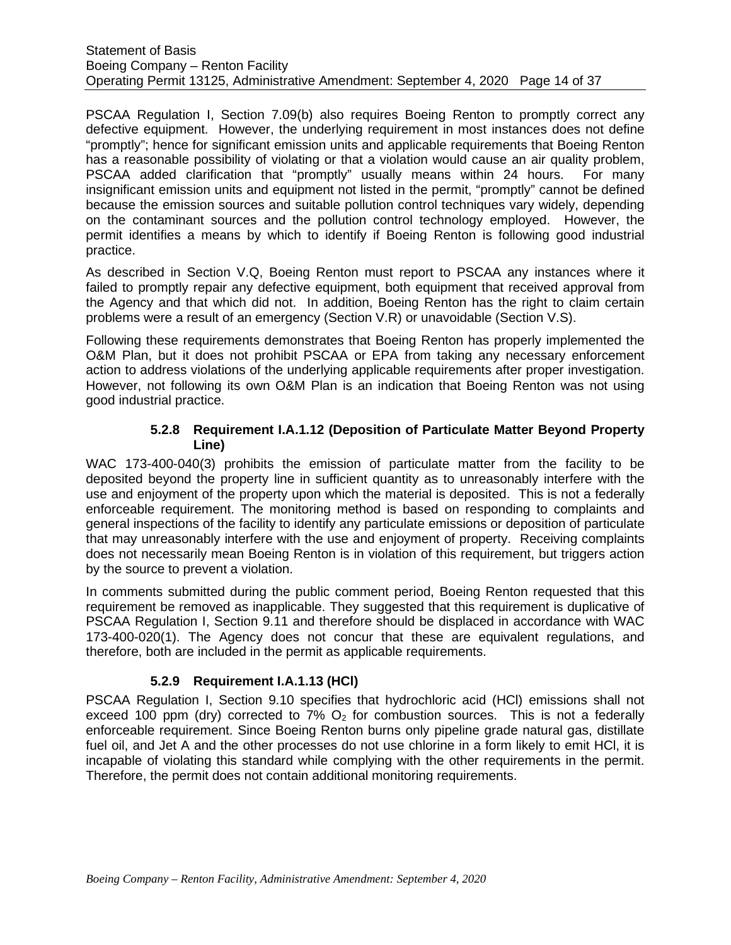#### Statement of Basis Boeing Company – Renton Facility Operating Permit 13125, Administrative Amendment: September 4, 2020 Page 14 of 37

PSCAA Regulation I, Section 7.09(b) also requires Boeing Renton to promptly correct any defective equipment. However, the underlying requirement in most instances does not define "promptly"; hence for significant emission units and applicable requirements that Boeing Renton has a reasonable possibility of violating or that a violation would cause an air quality problem, PSCAA added clarification that "promptly" usually means within 24 hours. For many insignificant emission units and equipment not listed in the permit, "promptly" cannot be defined because the emission sources and suitable pollution control techniques vary widely, depending on the contaminant sources and the pollution control technology employed. However, the permit identifies a means by which to identify if Boeing Renton is following good industrial practice.

As described in Section V.Q, Boeing Renton must report to PSCAA any instances where it failed to promptly repair any defective equipment, both equipment that received approval from the Agency and that which did not. In addition, Boeing Renton has the right to claim certain problems were a result of an emergency (Section V.R) or unavoidable (Section V.S).

Following these requirements demonstrates that Boeing Renton has properly implemented the O&M Plan, but it does not prohibit PSCAA or EPA from taking any necessary enforcement action to address violations of the underlying applicable requirements after proper investigation. However, not following its own O&M Plan is an indication that Boeing Renton was not using good industrial practice.

#### **5.2.8 Requirement I.A.1.12 (Deposition of Particulate Matter Beyond Property Line)**

<span id="page-13-0"></span>WAC 173-400-040(3) prohibits the emission of particulate matter from the facility to be deposited beyond the property line in sufficient quantity as to unreasonably interfere with the use and enjoyment of the property upon which the material is deposited. This is not a federally enforceable requirement. The monitoring method is based on responding to complaints and general inspections of the facility to identify any particulate emissions or deposition of particulate that may unreasonably interfere with the use and enjoyment of property. Receiving complaints does not necessarily mean Boeing Renton is in violation of this requirement, but triggers action by the source to prevent a violation.

In comments submitted during the public comment period, Boeing Renton requested that this requirement be removed as inapplicable. They suggested that this requirement is duplicative of PSCAA Regulation I, Section 9.11 and therefore should be displaced in accordance with WAC 173-400-020(1). The Agency does not concur that these are equivalent regulations, and therefore, both are included in the permit as applicable requirements.

# **5.2.9 Requirement I.A.1.13 (HCl)**

<span id="page-13-1"></span>PSCAA Regulation I, Section 9.10 specifies that hydrochloric acid (HCl) emissions shall not exceed 100 ppm (dry) corrected to 7%  $O<sub>2</sub>$  for combustion sources. This is not a federally enforceable requirement. Since Boeing Renton burns only pipeline grade natural gas, distillate fuel oil, and Jet A and the other processes do not use chlorine in a form likely to emit HCI, it is incapable of violating this standard while complying with the other requirements in the permit. Therefore, the permit does not contain additional monitoring requirements.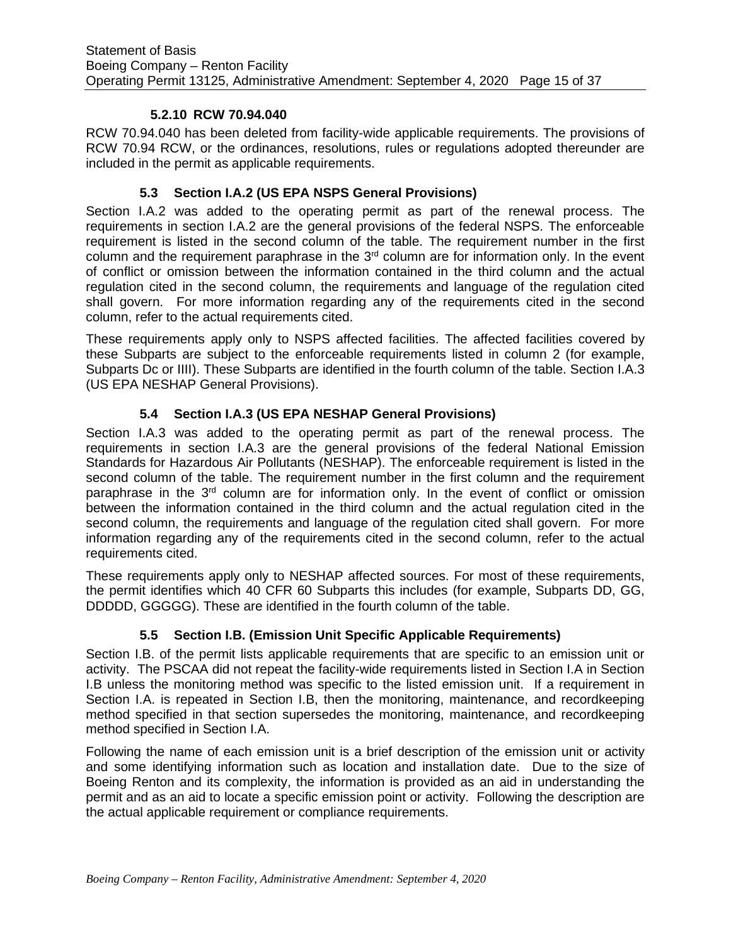#### **5.2.10 RCW 70.94.040**

<span id="page-14-0"></span>RCW 70.94.040 has been deleted from facility-wide applicable requirements. The provisions of RCW 70.94 RCW, or the ordinances, resolutions, rules or regulations adopted thereunder are included in the permit as applicable requirements.

## **5.3 Section I.A.2 (US EPA NSPS General Provisions)**

<span id="page-14-1"></span>Section I.A.2 was added to the operating permit as part of the renewal process. The requirements in section I.A.2 are the general provisions of the federal NSPS. The enforceable requirement is listed in the second column of the table. The requirement number in the first column and the requirement paraphrase in the 3<sup>rd</sup> column are for information only. In the event of conflict or omission between the information contained in the third column and the actual regulation cited in the second column, the requirements and language of the regulation cited shall govern. For more information regarding any of the requirements cited in the second column, refer to the actual requirements cited.

These requirements apply only to NSPS affected facilities. The affected facilities covered by these Subparts are subject to the enforceable requirements listed in column 2 (for example, Subparts Dc or IIII). These Subparts are identified in the fourth column of the table. Section I.A.3 (US EPA NESHAP General Provisions).

# **5.4 Section I.A.3 (US EPA NESHAP General Provisions)**

Section I.A.3 was added to the operating permit as part of the renewal process. The requirements in section I.A.3 are the general provisions of the federal National Emission Standards for Hazardous Air Pollutants (NESHAP). The enforceable requirement is listed in the second column of the table. The requirement number in the first column and the requirement paraphrase in the 3<sup>rd</sup> column are for information only. In the event of conflict or omission between the information contained in the third column and the actual regulation cited in the second column, the requirements and language of the regulation cited shall govern. For more information regarding any of the requirements cited in the second column, refer to the actual requirements cited.

These requirements apply only to NESHAP affected sources. For most of these requirements, the permit identifies which 40 CFR 60 Subparts this includes (for example, Subparts DD, GG, DDDDD, GGGGG). These are identified in the fourth column of the table.

# **5.5 Section I.B. (Emission Unit Specific Applicable Requirements)**

<span id="page-14-2"></span>Section I.B. of the permit lists applicable requirements that are specific to an emission unit or activity. The PSCAA did not repeat the facility-wide requirements listed in Section I.A in Section I.B unless the monitoring method was specific to the listed emission unit. If a requirement in Section I.A. is repeated in Section I.B, then the monitoring, maintenance, and recordkeeping method specified in that section supersedes the monitoring, maintenance, and recordkeeping method specified in Section I.A.

Following the name of each emission unit is a brief description of the emission unit or activity and some identifying information such as location and installation date. Due to the size of Boeing Renton and its complexity, the information is provided as an aid in understanding the permit and as an aid to locate a specific emission point or activity. Following the description are the actual applicable requirement or compliance requirements.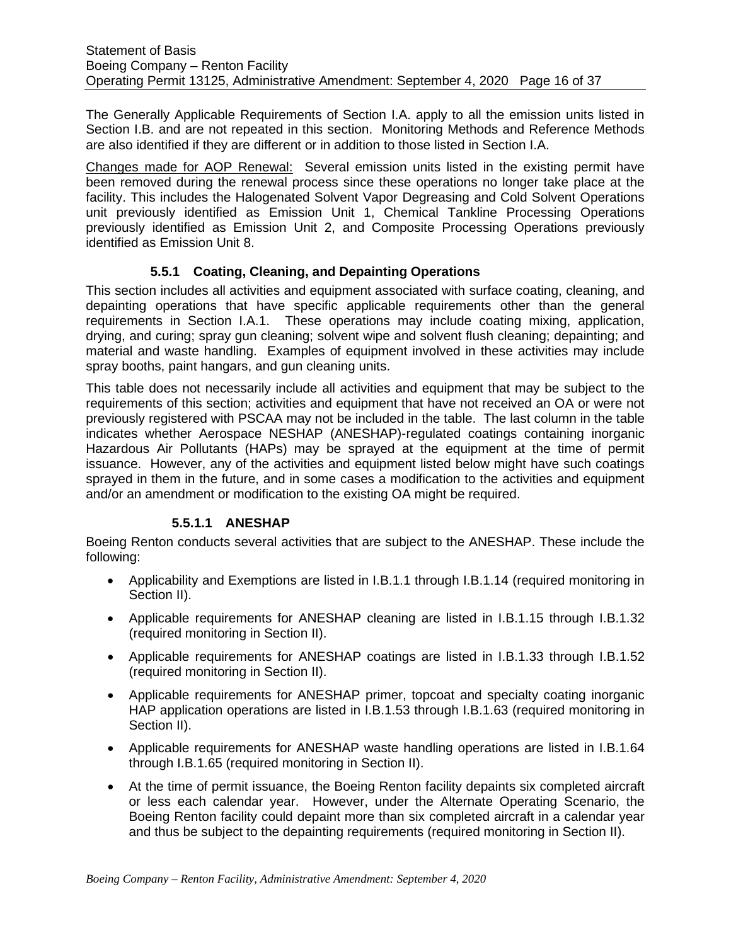The Generally Applicable Requirements of Section I.A. apply to all the emission units listed in Section I.B. and are not repeated in this section. Monitoring Methods and Reference Methods are also identified if they are different or in addition to those listed in Section I.A.

Changes made for AOP Renewal: Several emission units listed in the existing permit have been removed during the renewal process since these operations no longer take place at the facility. This includes the Halogenated Solvent Vapor Degreasing and Cold Solvent Operations unit previously identified as Emission Unit 1, Chemical Tankline Processing Operations previously identified as Emission Unit 2, and Composite Processing Operations previously identified as Emission Unit 8.

### **5.5.1 Coating, Cleaning, and Depainting Operations**

<span id="page-15-0"></span>This section includes all activities and equipment associated with surface coating, cleaning, and depainting operations that have specific applicable requirements other than the general requirements in Section I.A.1. These operations may include coating mixing, application, drying, and curing; spray gun cleaning; solvent wipe and solvent flush cleaning; depainting; and material and waste handling. Examples of equipment involved in these activities may include spray booths, paint hangars, and gun cleaning units.

This table does not necessarily include all activities and equipment that may be subject to the requirements of this section; activities and equipment that have not received an OA or were not previously registered with PSCAA may not be included in the table. The last column in the table indicates whether Aerospace NESHAP (ANESHAP)-regulated coatings containing inorganic Hazardous Air Pollutants (HAPs) may be sprayed at the equipment at the time of permit issuance. However, any of the activities and equipment listed below might have such coatings sprayed in them in the future, and in some cases a modification to the activities and equipment and/or an amendment or modification to the existing OA might be required.

#### **5.5.1.1 ANESHAP**

Boeing Renton conducts several activities that are subject to the ANESHAP. These include the following:

- Applicability and Exemptions are listed in I.B.1.1 through I.B.1.14 (required monitoring in Section II).
- Applicable requirements for ANESHAP cleaning are listed in I.B.1.15 through I.B.1.32 (required monitoring in Section II).
- Applicable requirements for ANESHAP coatings are listed in I.B.1.33 through I.B.1.52 (required monitoring in Section II).
- Applicable requirements for ANESHAP primer, topcoat and specialty coating inorganic HAP application operations are listed in I.B.1.53 through I.B.1.63 (required monitoring in Section II).
- Applicable requirements for ANESHAP waste handling operations are listed in I.B.1.64 through I.B.1.65 (required monitoring in Section II).
- At the time of permit issuance, the Boeing Renton facility depaints six completed aircraft or less each calendar year. However, under the Alternate Operating Scenario, the Boeing Renton facility could depaint more than six completed aircraft in a calendar year and thus be subject to the depainting requirements (required monitoring in Section II).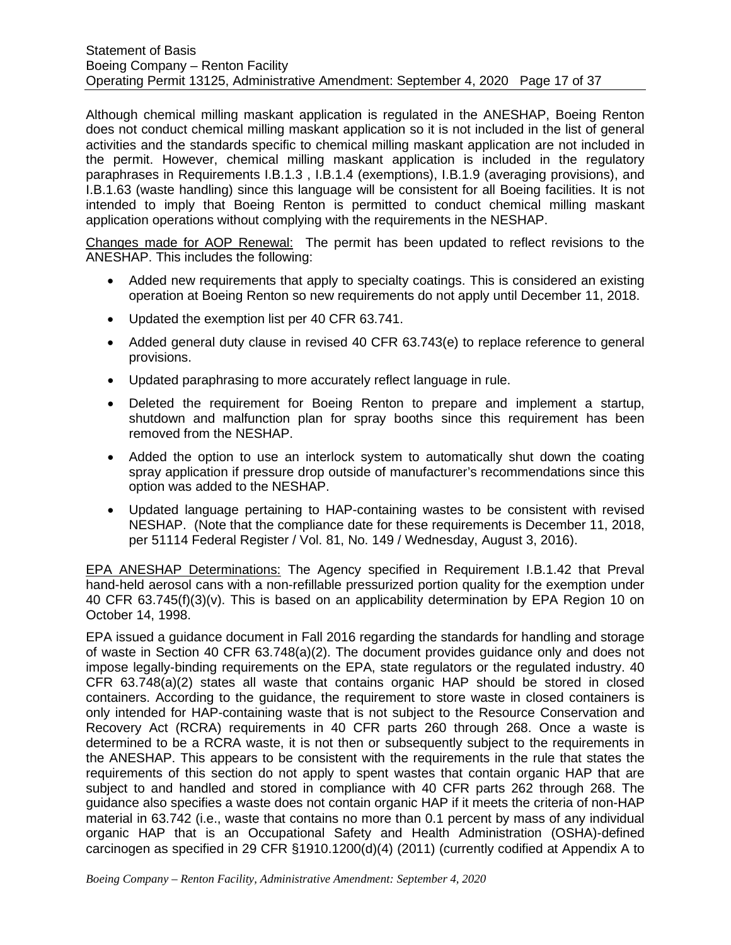Although chemical milling maskant application is regulated in the ANESHAP, Boeing Renton does not conduct chemical milling maskant application so it is not included in the list of general activities and the standards specific to chemical milling maskant application are not included in the permit. However, chemical milling maskant application is included in the regulatory paraphrases in Requirements I.B.1.3 , I.B.1.4 (exemptions), I.B.1.9 (averaging provisions), and I.B.1.63 (waste handling) since this language will be consistent for all Boeing facilities. It is not intended to imply that Boeing Renton is permitted to conduct chemical milling maskant application operations without complying with the requirements in the NESHAP.

Changes made for AOP Renewal: The permit has been updated to reflect revisions to the ANESHAP. This includes the following:

- Added new requirements that apply to specialty coatings. This is considered an existing operation at Boeing Renton so new requirements do not apply until December 11, 2018.
- Updated the exemption list per 40 CFR 63.741.
- Added general duty clause in revised 40 CFR 63.743(e) to replace reference to general provisions.
- Updated paraphrasing to more accurately reflect language in rule.
- Deleted the requirement for Boeing Renton to prepare and implement a startup, shutdown and malfunction plan for spray booths since this requirement has been removed from the NESHAP.
- Added the option to use an interlock system to automatically shut down the coating spray application if pressure drop outside of manufacturer's recommendations since this option was added to the NESHAP.
- Updated language pertaining to HAP-containing wastes to be consistent with revised NESHAP. (Note that the compliance date for these requirements is December 11, 2018, per 51114 Federal Register / Vol. 81, No. 149 / Wednesday, August 3, 2016).

EPA ANESHAP Determinations: The Agency specified in Requirement I.B.1.42 that Preval hand-held aerosol cans with a non-refillable pressurized portion quality for the exemption under 40 CFR 63.745(f)(3)(v). This is based on an applicability determination by EPA Region 10 on October 14, 1998.

EPA issued a guidance document in Fall 2016 regarding the standards for handling and storage of waste in Section 40 CFR 63.748(a)(2). The document provides guidance only and does not impose legally-binding requirements on the EPA, state regulators or the regulated industry. 40 CFR 63.748(a)(2) states all waste that contains organic HAP should be stored in closed containers. According to the guidance, the requirement to store waste in closed containers is only intended for HAP-containing waste that is not subject to the Resource Conservation and Recovery Act (RCRA) requirements in 40 CFR parts 260 through 268. Once a waste is determined to be a RCRA waste, it is not then or subsequently subject to the requirements in the ANESHAP. This appears to be consistent with the requirements in the rule that states the requirements of this section do not apply to spent wastes that contain organic HAP that are subject to and handled and stored in compliance with 40 CFR parts 262 through 268. The guidance also specifies a waste does not contain organic HAP if it meets the criteria of non-HAP material in 63.742 (i.e., waste that contains no more than 0.1 percent by mass of any individual organic HAP that is an Occupational Safety and Health Administration (OSHA)-defined carcinogen as specified in 29 CFR §1910.1200(d)(4) (2011) (currently codified at Appendix A to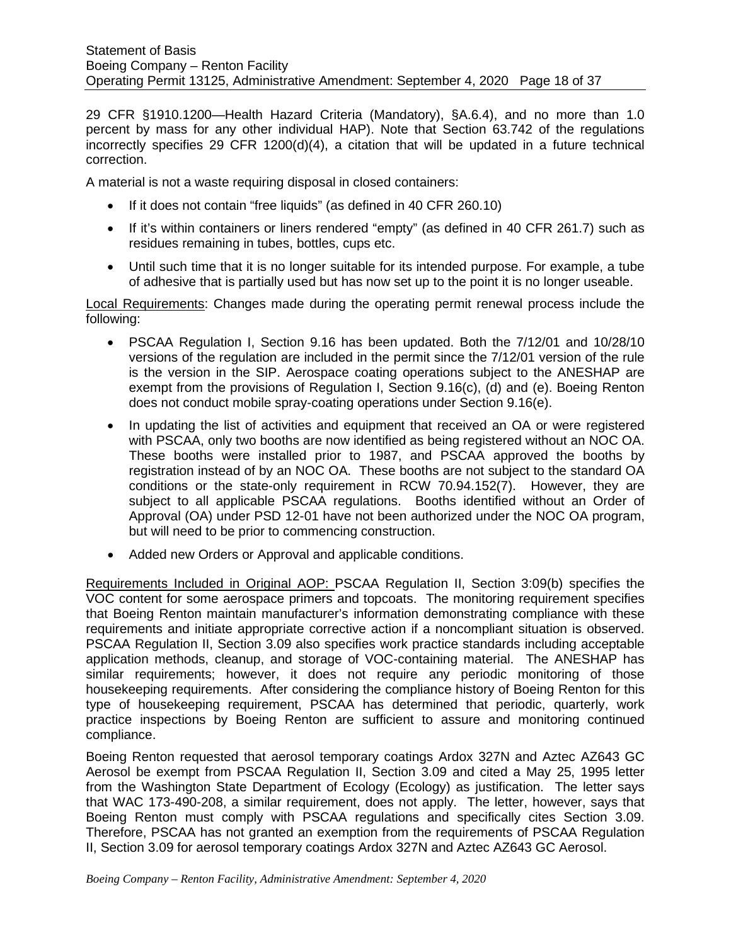29 CFR §1910.1200—Health Hazard Criteria (Mandatory), §A.6.4), and no more than 1.0 percent by mass for any other individual HAP). Note that Section 63.742 of the regulations incorrectly specifies 29 CFR 1200(d)(4), a citation that will be updated in a future technical correction.

A material is not a waste requiring disposal in closed containers:

- If it does not contain "free liquids" (as defined in 40 CFR 260.10)
- If it's within containers or liners rendered "empty" (as defined in 40 CFR 261.7) such as residues remaining in tubes, bottles, cups etc.
- Until such time that it is no longer suitable for its intended purpose. For example, a tube of adhesive that is partially used but has now set up to the point it is no longer useable.

Local Requirements: Changes made during the operating permit renewal process include the following:

- PSCAA Regulation I, Section 9.16 has been updated. Both the 7/12/01 and 10/28/10 versions of the regulation are included in the permit since the 7/12/01 version of the rule is the version in the SIP. Aerospace coating operations subject to the ANESHAP are exempt from the provisions of Regulation I, Section 9.16(c), (d) and (e). Boeing Renton does not conduct mobile spray-coating operations under Section 9.16(e).
- In updating the list of activities and equipment that received an OA or were registered with PSCAA, only two booths are now identified as being registered without an NOC OA. These booths were installed prior to 1987, and PSCAA approved the booths by registration instead of by an NOC OA. These booths are not subject to the standard OA conditions or the state-only requirement in RCW 70.94.152(7). However, they are subject to all applicable PSCAA regulations. Booths identified without an Order of Approval (OA) under PSD 12-01 have not been authorized under the NOC OA program, but will need to be prior to commencing construction.
- Added new Orders or Approval and applicable conditions.

Requirements Included in Original AOP: PSCAA Regulation II, Section 3:09(b) specifies the VOC content for some aerospace primers and topcoats. The monitoring requirement specifies that Boeing Renton maintain manufacturer's information demonstrating compliance with these requirements and initiate appropriate corrective action if a noncompliant situation is observed. PSCAA Regulation II, Section 3.09 also specifies work practice standards including acceptable application methods, cleanup, and storage of VOC-containing material. The ANESHAP has similar requirements; however, it does not require any periodic monitoring of those housekeeping requirements. After considering the compliance history of Boeing Renton for this type of housekeeping requirement, PSCAA has determined that periodic, quarterly, work practice inspections by Boeing Renton are sufficient to assure and monitoring continued compliance.

Boeing Renton requested that aerosol temporary coatings Ardox 327N and Aztec AZ643 GC Aerosol be exempt from PSCAA Regulation II, Section 3.09 and cited a May 25, 1995 letter from the Washington State Department of Ecology (Ecology) as justification. The letter says that WAC 173-490-208, a similar requirement, does not apply. The letter, however, says that Boeing Renton must comply with PSCAA regulations and specifically cites Section 3.09. Therefore, PSCAA has not granted an exemption from the requirements of PSCAA Regulation II, Section 3.09 for aerosol temporary coatings Ardox 327N and Aztec AZ643 GC Aerosol.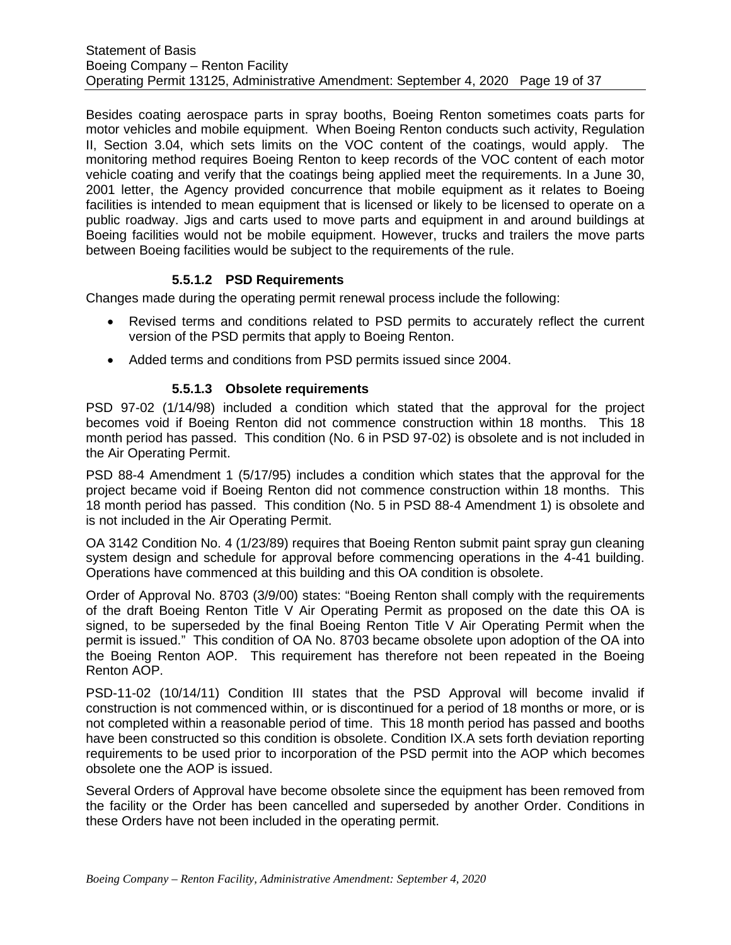Besides coating aerospace parts in spray booths, Boeing Renton sometimes coats parts for motor vehicles and mobile equipment. When Boeing Renton conducts such activity, Regulation II, Section 3.04, which sets limits on the VOC content of the coatings, would apply. The monitoring method requires Boeing Renton to keep records of the VOC content of each motor vehicle coating and verify that the coatings being applied meet the requirements. In a June 30, 2001 letter, the Agency provided concurrence that mobile equipment as it relates to Boeing facilities is intended to mean equipment that is licensed or likely to be licensed to operate on a public roadway. Jigs and carts used to move parts and equipment in and around buildings at Boeing facilities would not be mobile equipment. However, trucks and trailers the move parts between Boeing facilities would be subject to the requirements of the rule.

### **5.5.1.2 PSD Requirements**

Changes made during the operating permit renewal process include the following:

- Revised terms and conditions related to PSD permits to accurately reflect the current version of the PSD permits that apply to Boeing Renton.
- Added terms and conditions from PSD permits issued since 2004.

#### **5.5.1.3 Obsolete requirements**

PSD 97-02 (1/14/98) included a condition which stated that the approval for the project becomes void if Boeing Renton did not commence construction within 18 months. This 18 month period has passed. This condition (No. 6 in PSD 97-02) is obsolete and is not included in the Air Operating Permit.

PSD 88-4 Amendment 1 (5/17/95) includes a condition which states that the approval for the project became void if Boeing Renton did not commence construction within 18 months. This 18 month period has passed. This condition (No. 5 in PSD 88-4 Amendment 1) is obsolete and is not included in the Air Operating Permit.

OA 3142 Condition No. 4 (1/23/89) requires that Boeing Renton submit paint spray gun cleaning system design and schedule for approval before commencing operations in the 4-41 building. Operations have commenced at this building and this OA condition is obsolete.

Order of Approval No. 8703 (3/9/00) states: "Boeing Renton shall comply with the requirements of the draft Boeing Renton Title V Air Operating Permit as proposed on the date this OA is signed, to be superseded by the final Boeing Renton Title V Air Operating Permit when the permit is issued." This condition of OA No. 8703 became obsolete upon adoption of the OA into the Boeing Renton AOP. This requirement has therefore not been repeated in the Boeing Renton AOP.

PSD-11-02 (10/14/11) Condition III states that the PSD Approval will become invalid if construction is not commenced within, or is discontinued for a period of 18 months or more, or is not completed within a reasonable period of time. This 18 month period has passed and booths have been constructed so this condition is obsolete. Condition IX.A sets forth deviation reporting requirements to be used prior to incorporation of the PSD permit into the AOP which becomes obsolete one the AOP is issued.

Several Orders of Approval have become obsolete since the equipment has been removed from the facility or the Order has been cancelled and superseded by another Order. Conditions in these Orders have not been included in the operating permit.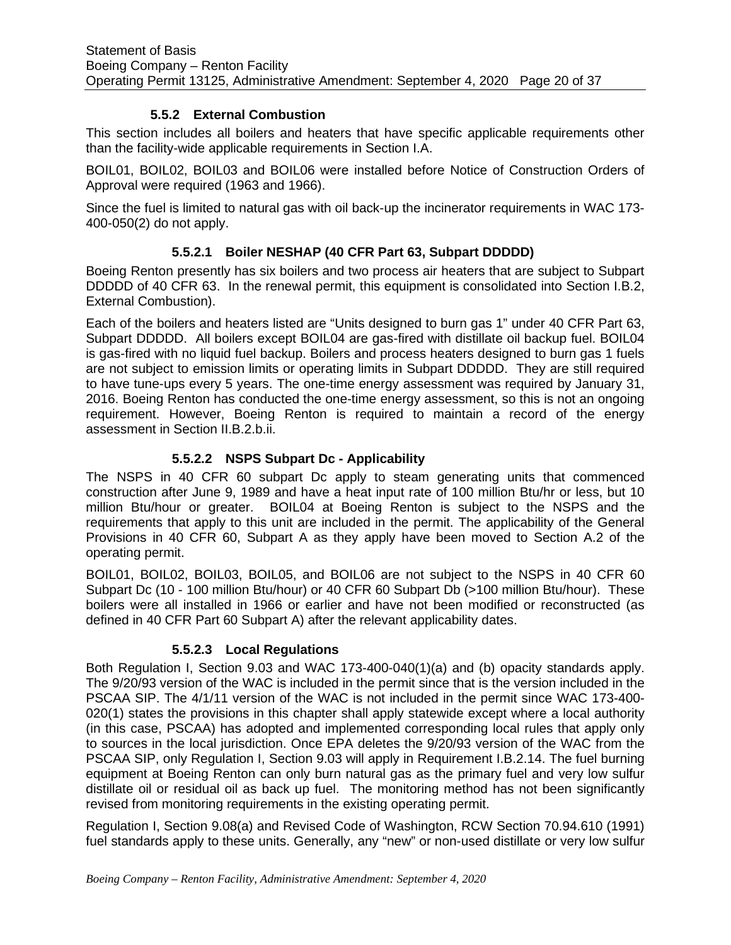## **5.5.2 External Combustion**

<span id="page-19-0"></span>This section includes all boilers and heaters that have specific applicable requirements other than the facility-wide applicable requirements in Section I.A.

BOIL01, BOIL02, BOIL03 and BOIL06 were installed before Notice of Construction Orders of Approval were required (1963 and 1966).

Since the fuel is limited to natural gas with oil back-up the incinerator requirements in WAC 173- 400-050(2) do not apply.

# **5.5.2.1 Boiler NESHAP (40 CFR Part 63, Subpart DDDDD)**

Boeing Renton presently has six boilers and two process air heaters that are subject to Subpart DDDDD of 40 CFR 63. In the renewal permit, this equipment is consolidated into Section I.B.2, External Combustion).

Each of the boilers and heaters listed are "Units designed to burn gas 1" under 40 CFR Part 63, Subpart DDDDD. All boilers except BOIL04 are gas-fired with distillate oil backup fuel. BOIL04 is gas-fired with no liquid fuel backup. Boilers and process heaters designed to burn gas 1 fuels are not subject to emission limits or operating limits in Subpart DDDDD. They are still required to have tune-ups every 5 years. The one-time energy assessment was required by January 31, 2016. Boeing Renton has conducted the one-time energy assessment, so this is not an ongoing requirement. However, Boeing Renton is required to maintain a record of the energy assessment in Section II.B.2.b.ii.

### **5.5.2.2 NSPS Subpart Dc - Applicability**

The NSPS in 40 CFR 60 subpart Dc apply to steam generating units that commenced construction after June 9, 1989 and have a heat input rate of 100 million Btu/hr or less, but 10 million Btu/hour or greater. BOIL04 at Boeing Renton is subject to the NSPS and the requirements that apply to this unit are included in the permit. The applicability of the General Provisions in 40 CFR 60, Subpart A as they apply have been moved to Section A.2 of the operating permit.

BOIL01, BOIL02, BOIL03, BOIL05, and BOIL06 are not subject to the NSPS in 40 CFR 60 Subpart Dc (10 - 100 million Btu/hour) or 40 CFR 60 Subpart Db (>100 million Btu/hour). These boilers were all installed in 1966 or earlier and have not been modified or reconstructed (as defined in 40 CFR Part 60 Subpart A) after the relevant applicability dates.

# **5.5.2.3 Local Regulations**

Both Regulation I, Section 9.03 and WAC 173-400-040(1)(a) and (b) opacity standards apply. The 9/20/93 version of the WAC is included in the permit since that is the version included in the PSCAA SIP. The 4/1/11 version of the WAC is not included in the permit since WAC 173-400- 020(1) states the provisions in this chapter shall apply statewide except where a local authority (in this case, PSCAA) has adopted and implemented corresponding local rules that apply only to sources in the local jurisdiction. Once EPA deletes the 9/20/93 version of the WAC from the PSCAA SIP, only Regulation I, Section 9.03 will apply in Requirement I.B.2.14. The fuel burning equipment at Boeing Renton can only burn natural gas as the primary fuel and very low sulfur distillate oil or residual oil as back up fuel. The monitoring method has not been significantly revised from monitoring requirements in the existing operating permit.

Regulation I, Section 9.08(a) and Revised Code of Washington, RCW Section 70.94.610 (1991) fuel standards apply to these units. Generally, any "new" or non-used distillate or very low sulfur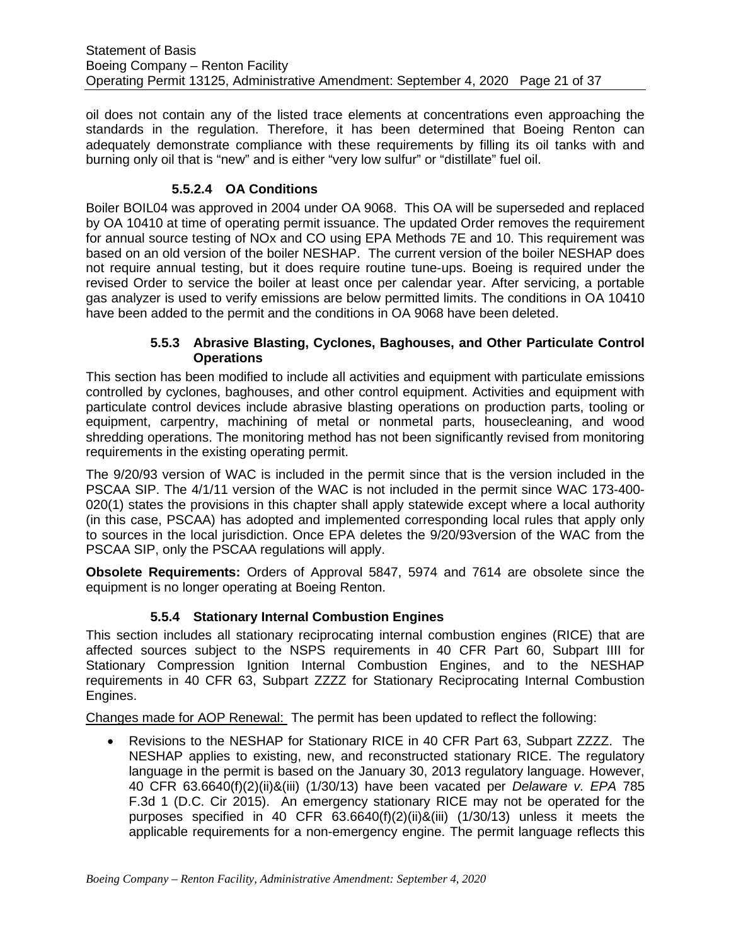oil does not contain any of the listed trace elements at concentrations even approaching the standards in the regulation. Therefore, it has been determined that Boeing Renton can adequately demonstrate compliance with these requirements by filling its oil tanks with and burning only oil that is "new" and is either "very low sulfur" or "distillate" fuel oil.

## **5.5.2.4 OA Conditions**

Boiler BOIL04 was approved in 2004 under OA 9068. This OA will be superseded and replaced by OA 10410 at time of operating permit issuance. The updated Order removes the requirement for annual source testing of NOx and CO using EPA Methods 7E and 10. This requirement was based on an old version of the boiler NESHAP. The current version of the boiler NESHAP does not require annual testing, but it does require routine tune-ups. Boeing is required under the revised Order to service the boiler at least once per calendar year. After servicing, a portable gas analyzer is used to verify emissions are below permitted limits. The conditions in OA 10410 have been added to the permit and the conditions in OA 9068 have been deleted.

#### **5.5.3 Abrasive Blasting, Cyclones, Baghouses, and Other Particulate Control Operations**

<span id="page-20-0"></span>This section has been modified to include all activities and equipment with particulate emissions controlled by cyclones, baghouses, and other control equipment. Activities and equipment with particulate control devices include abrasive blasting operations on production parts, tooling or equipment, carpentry, machining of metal or nonmetal parts, housecleaning, and wood shredding operations. The monitoring method has not been significantly revised from monitoring requirements in the existing operating permit.

The 9/20/93 version of WAC is included in the permit since that is the version included in the PSCAA SIP. The 4/1/11 version of the WAC is not included in the permit since WAC 173-400- 020(1) states the provisions in this chapter shall apply statewide except where a local authority (in this case, PSCAA) has adopted and implemented corresponding local rules that apply only to sources in the local jurisdiction. Once EPA deletes the 9/20/93version of the WAC from the PSCAA SIP, only the PSCAA regulations will apply.

**Obsolete Requirements:** Orders of Approval 5847, 5974 and 7614 are obsolete since the equipment is no longer operating at Boeing Renton.

# **5.5.4 Stationary Internal Combustion Engines**

<span id="page-20-1"></span>This section includes all stationary reciprocating internal combustion engines (RICE) that are affected sources subject to the NSPS requirements in 40 CFR Part 60, Subpart IIII for Stationary Compression Ignition Internal Combustion Engines, and to the NESHAP requirements in 40 CFR 63, Subpart ZZZZ for Stationary Reciprocating Internal Combustion Engines.

Changes made for AOP Renewal: The permit has been updated to reflect the following:

• Revisions to the NESHAP for Stationary RICE in 40 CFR Part 63, Subpart ZZZZ. The NESHAP applies to existing, new, and reconstructed stationary RICE. The regulatory language in the permit is based on the January 30, 2013 regulatory language. However, 40 CFR 63.6640(f)(2)(ii)&(iii) (1/30/13) have been vacated per *Delaware v. EPA* 785 F.3d 1 (D.C. Cir 2015). An emergency stationary RICE may not be operated for the purposes specified in 40 CFR 63.6640(f)(2)(ii)&(iii) (1/30/13) unless it meets the applicable requirements for a non-emergency engine. The permit language reflects this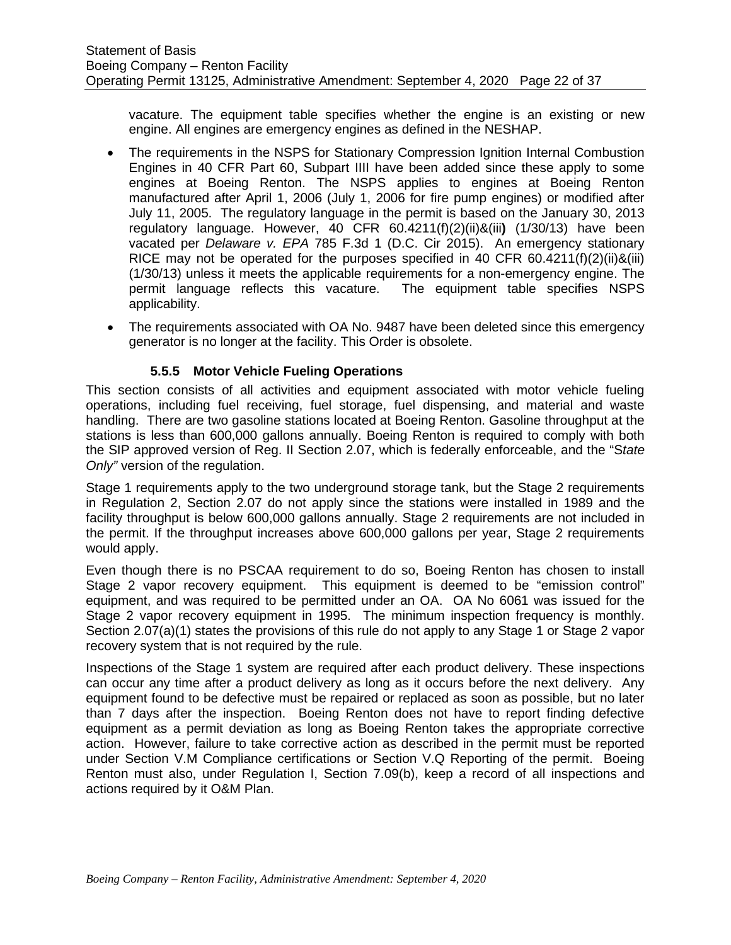vacature. The equipment table specifies whether the engine is an existing or new engine. All engines are emergency engines as defined in the NESHAP.

- The requirements in the NSPS for Stationary Compression Ignition Internal Combustion Engines in 40 CFR Part 60, Subpart IIII have been added since these apply to some engines at Boeing Renton. The NSPS applies to engines at Boeing Renton manufactured after April 1, 2006 (July 1, 2006 for fire pump engines) or modified after July 11, 2005. The regulatory language in the permit is based on the January 30, 2013 regulatory language. However, 40 CFR 60.4211(f)(2)(ii)&(iii**)** (1/30/13) have been vacated per *Delaware v. EPA* 785 F.3d 1 (D.C. Cir 2015). An emergency stationary RICE may not be operated for the purposes specified in 40 CFR 60.4211(f)(2)(ii)&(iii) (1/30/13) unless it meets the applicable requirements for a non-emergency engine. The permit language reflects this vacature. The equipment table specifies NSPS applicability.
- The requirements associated with OA No. 9487 have been deleted since this emergency generator is no longer at the facility. This Order is obsolete.

### **5.5.5 Motor Vehicle Fueling Operations**

<span id="page-21-0"></span>This section consists of all activities and equipment associated with motor vehicle fueling operations, including fuel receiving, fuel storage, fuel dispensing, and material and waste handling. There are two gasoline stations located at Boeing Renton. Gasoline throughput at the stations is less than 600,000 gallons annually. Boeing Renton is required to comply with both the SIP approved version of Reg. II Section 2.07, which is federally enforceable, and the "S*tate Only"* version of the regulation.

Stage 1 requirements apply to the two underground storage tank, but the Stage 2 requirements in Regulation 2, Section 2.07 do not apply since the stations were installed in 1989 and the facility throughput is below 600,000 gallons annually. Stage 2 requirements are not included in the permit. If the throughput increases above 600,000 gallons per year, Stage 2 requirements would apply.

Even though there is no PSCAA requirement to do so, Boeing Renton has chosen to install Stage 2 vapor recovery equipment. This equipment is deemed to be "emission control" equipment, and was required to be permitted under an OA. OA No 6061 was issued for the Stage 2 vapor recovery equipment in 1995. The minimum inspection frequency is monthly. Section 2.07(a)(1) states the provisions of this rule do not apply to any Stage 1 or Stage 2 vapor recovery system that is not required by the rule.

Inspections of the Stage 1 system are required after each product delivery. These inspections can occur any time after a product delivery as long as it occurs before the next delivery. Any equipment found to be defective must be repaired or replaced as soon as possible, but no later than 7 days after the inspection. Boeing Renton does not have to report finding defective equipment as a permit deviation as long as Boeing Renton takes the appropriate corrective action. However, failure to take corrective action as described in the permit must be reported under Section V.M Compliance certifications or Section V.Q Reporting of the permit. Boeing Renton must also, under Regulation I, Section 7.09(b), keep a record of all inspections and actions required by it O&M Plan.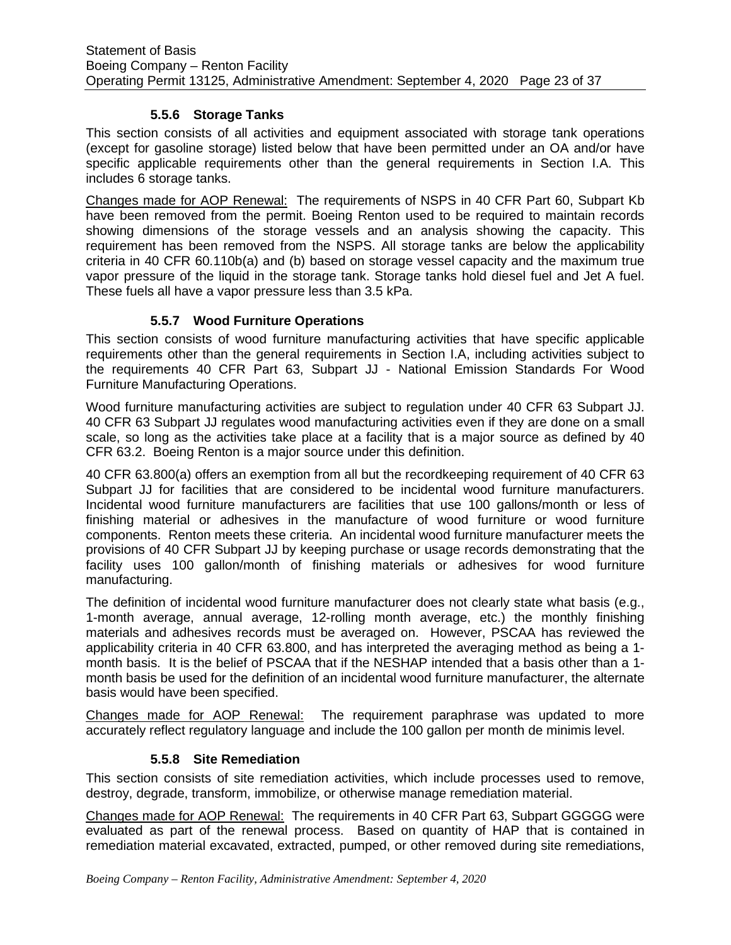## **5.5.6 Storage Tanks**

<span id="page-22-0"></span>This section consists of all activities and equipment associated with storage tank operations (except for gasoline storage) listed below that have been permitted under an OA and/or have specific applicable requirements other than the general requirements in Section I.A. This includes 6 storage tanks.

Changes made for AOP Renewal:The requirements of NSPS in 40 CFR Part 60, Subpart Kb have been removed from the permit. Boeing Renton used to be required to maintain records showing dimensions of the storage vessels and an analysis showing the capacity. This requirement has been removed from the NSPS. All storage tanks are below the applicability criteria in 40 CFR 60.110b(a) and (b) based on storage vessel capacity and the maximum true vapor pressure of the liquid in the storage tank. Storage tanks hold diesel fuel and Jet A fuel. These fuels all have a vapor pressure less than 3.5 kPa.

### **5.5.7 Wood Furniture Operations**

<span id="page-22-1"></span>This section consists of wood furniture manufacturing activities that have specific applicable requirements other than the general requirements in Section I.A, including activities subject to the requirements 40 CFR Part 63, Subpart JJ - National Emission Standards For Wood Furniture Manufacturing Operations.

Wood furniture manufacturing activities are subject to regulation under 40 CFR 63 Subpart JJ. 40 CFR 63 Subpart JJ regulates wood manufacturing activities even if they are done on a small scale, so long as the activities take place at a facility that is a major source as defined by 40 CFR 63.2. Boeing Renton is a major source under this definition.

40 CFR 63.800(a) offers an exemption from all but the recordkeeping requirement of 40 CFR 63 Subpart JJ for facilities that are considered to be incidental wood furniture manufacturers. Incidental wood furniture manufacturers are facilities that use 100 gallons/month or less of finishing material or adhesives in the manufacture of wood furniture or wood furniture components. Renton meets these criteria. An incidental wood furniture manufacturer meets the provisions of 40 CFR Subpart JJ by keeping purchase or usage records demonstrating that the facility uses 100 gallon/month of finishing materials or adhesives for wood furniture manufacturing.

The definition of incidental wood furniture manufacturer does not clearly state what basis (e.g., 1-month average, annual average, 12-rolling month average, etc.) the monthly finishing materials and adhesives records must be averaged on. However, PSCAA has reviewed the applicability criteria in 40 CFR 63.800, and has interpreted the averaging method as being a 1 month basis. It is the belief of PSCAA that if the NESHAP intended that a basis other than a 1 month basis be used for the definition of an incidental wood furniture manufacturer, the alternate basis would have been specified.

Changes made for AOP Renewal: The requirement paraphrase was updated to more accurately reflect regulatory language and include the 100 gallon per month de minimis level.

#### **5.5.8 Site Remediation**

<span id="page-22-2"></span>This section consists of site remediation activities, which include processes used to remove, destroy, degrade, transform, immobilize, or otherwise manage remediation material.

Changes made for AOP Renewal: The requirements in 40 CFR Part 63, Subpart GGGGG were evaluated as part of the renewal process. Based on quantity of HAP that is contained in remediation material excavated, extracted, pumped, or other removed during site remediations,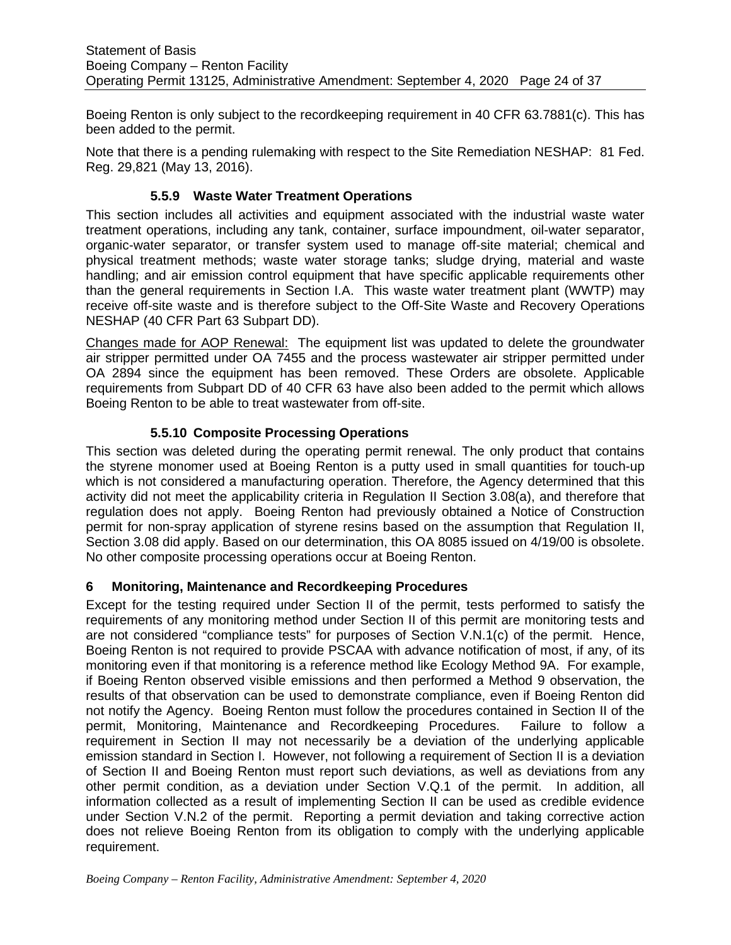Boeing Renton is only subject to the recordkeeping requirement in 40 CFR 63.7881(c). This has been added to the permit.

Note that there is a pending rulemaking with respect to the Site Remediation NESHAP: 81 Fed. Reg. 29,821 (May 13, 2016).

## **5.5.9 Waste Water Treatment Operations**

<span id="page-23-0"></span>This section includes all activities and equipment associated with the industrial waste water treatment operations, including any tank, container, surface impoundment, oil-water separator, organic-water separator, or transfer system used to manage off-site material; chemical and physical treatment methods; waste water storage tanks; sludge drying, material and waste handling; and air emission control equipment that have specific applicable requirements other than the general requirements in Section I.A. This waste water treatment plant (WWTP) may receive off-site waste and is therefore subject to the Off-Site Waste and Recovery Operations NESHAP (40 CFR Part 63 Subpart DD).

Changes made for AOP Renewal: The equipment list was updated to delete the groundwater air stripper permitted under OA 7455 and the process wastewater air stripper permitted under OA 2894 since the equipment has been removed. These Orders are obsolete. Applicable requirements from Subpart DD of 40 CFR 63 have also been added to the permit which allows Boeing Renton to be able to treat wastewater from off-site.

# **5.5.10 Composite Processing Operations**

<span id="page-23-1"></span>This section was deleted during the operating permit renewal. The only product that contains the styrene monomer used at Boeing Renton is a putty used in small quantities for touch-up which is not considered a manufacturing operation. Therefore, the Agency determined that this activity did not meet the applicability criteria in Regulation II Section 3.08(a), and therefore that regulation does not apply. Boeing Renton had previously obtained a Notice of Construction permit for non-spray application of styrene resins based on the assumption that Regulation II, Section 3.08 did apply. Based on our determination, this OA 8085 issued on 4/19/00 is obsolete. No other composite processing operations occur at Boeing Renton.

#### <span id="page-23-2"></span>**6 Monitoring, Maintenance and Recordkeeping Procedures**

Except for the testing required under Section II of the permit, tests performed to satisfy the requirements of any monitoring method under Section II of this permit are monitoring tests and are not considered "compliance tests" for purposes of Section V.N.1(c) of the permit. Hence, Boeing Renton is not required to provide PSCAA with advance notification of most, if any, of its monitoring even if that monitoring is a reference method like Ecology Method 9A. For example, if Boeing Renton observed visible emissions and then performed a Method 9 observation, the results of that observation can be used to demonstrate compliance, even if Boeing Renton did not notify the Agency. Boeing Renton must follow the procedures contained in Section II of the permit, Monitoring, Maintenance and Recordkeeping Procedures. Failure to follow a requirement in Section II may not necessarily be a deviation of the underlying applicable emission standard in Section I. However, not following a requirement of Section II is a deviation of Section II and Boeing Renton must report such deviations, as well as deviations from any other permit condition, as a deviation under Section V.Q.1 of the permit. In addition, all information collected as a result of implementing Section II can be used as credible evidence under Section V.N.2 of the permit. Reporting a permit deviation and taking corrective action does not relieve Boeing Renton from its obligation to comply with the underlying applicable requirement.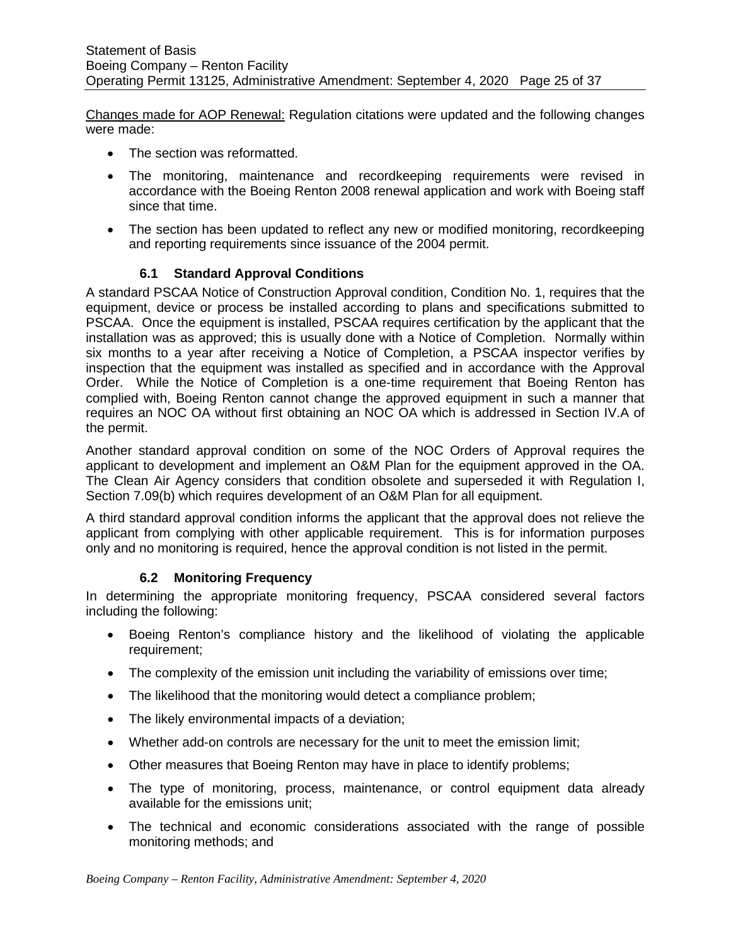Changes made for AOP Renewal: Regulation citations were updated and the following changes were made:

- The section was reformatted.
- The monitoring, maintenance and recordkeeping requirements were revised in accordance with the Boeing Renton 2008 renewal application and work with Boeing staff since that time.
- The section has been updated to reflect any new or modified monitoring, recordkeeping and reporting requirements since issuance of the 2004 permit.

# **6.1 Standard Approval Conditions**

<span id="page-24-0"></span>A standard PSCAA Notice of Construction Approval condition, Condition No. 1, requires that the equipment, device or process be installed according to plans and specifications submitted to PSCAA. Once the equipment is installed, PSCAA requires certification by the applicant that the installation was as approved; this is usually done with a Notice of Completion. Normally within six months to a year after receiving a Notice of Completion, a PSCAA inspector verifies by inspection that the equipment was installed as specified and in accordance with the Approval Order. While the Notice of Completion is a one-time requirement that Boeing Renton has complied with, Boeing Renton cannot change the approved equipment in such a manner that requires an NOC OA without first obtaining an NOC OA which is addressed in Section IV.A of the permit.

Another standard approval condition on some of the NOC Orders of Approval requires the applicant to development and implement an O&M Plan for the equipment approved in the OA. The Clean Air Agency considers that condition obsolete and superseded it with Regulation I, Section 7.09(b) which requires development of an O&M Plan for all equipment.

A third standard approval condition informs the applicant that the approval does not relieve the applicant from complying with other applicable requirement. This is for information purposes only and no monitoring is required, hence the approval condition is not listed in the permit.

# **6.2 Monitoring Frequency**

<span id="page-24-1"></span>In determining the appropriate monitoring frequency, PSCAA considered several factors including the following:

- Boeing Renton's compliance history and the likelihood of violating the applicable requirement;
- The complexity of the emission unit including the variability of emissions over time;
- The likelihood that the monitoring would detect a compliance problem;
- The likely environmental impacts of a deviation;
- Whether add-on controls are necessary for the unit to meet the emission limit;
- Other measures that Boeing Renton may have in place to identify problems;
- The type of monitoring, process, maintenance, or control equipment data already available for the emissions unit;
- The technical and economic considerations associated with the range of possible monitoring methods; and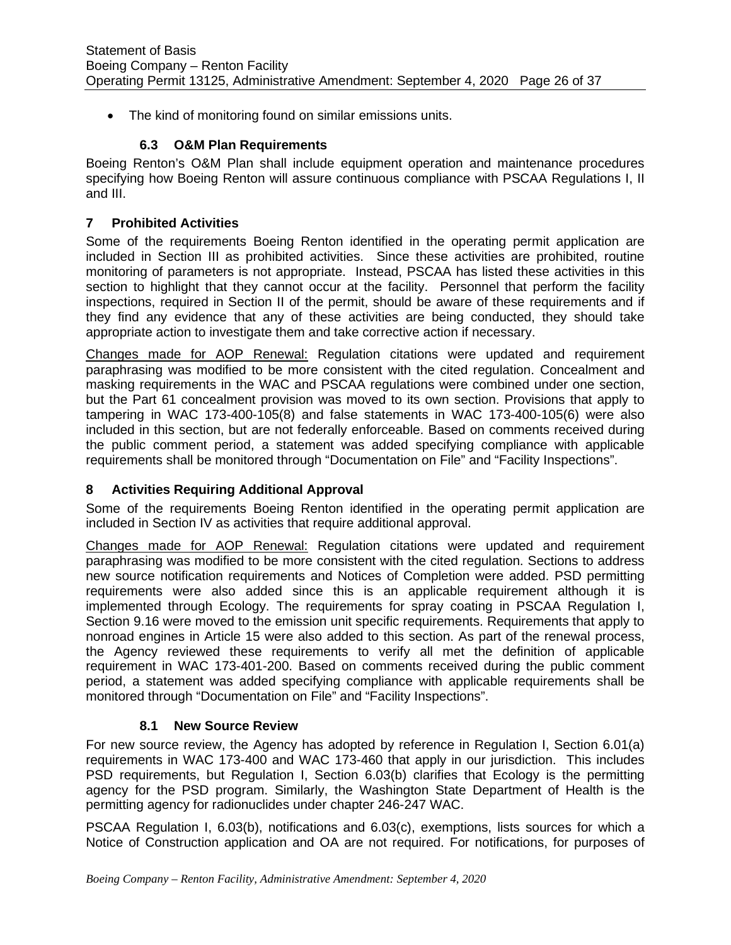• The kind of monitoring found on similar emissions units.

## **6.3 O&M Plan Requirements**

<span id="page-25-0"></span>Boeing Renton's O&M Plan shall include equipment operation and maintenance procedures specifying how Boeing Renton will assure continuous compliance with PSCAA Regulations I, II and III.

#### <span id="page-25-1"></span>**7 Prohibited Activities**

Some of the requirements Boeing Renton identified in the operating permit application are included in Section III as prohibited activities. Since these activities are prohibited, routine monitoring of parameters is not appropriate. Instead, PSCAA has listed these activities in this section to highlight that they cannot occur at the facility. Personnel that perform the facility inspections, required in Section II of the permit, should be aware of these requirements and if they find any evidence that any of these activities are being conducted, they should take appropriate action to investigate them and take corrective action if necessary.

Changes made for AOP Renewal: Regulation citations were updated and requirement paraphrasing was modified to be more consistent with the cited regulation. Concealment and masking requirements in the WAC and PSCAA regulations were combined under one section, but the Part 61 concealment provision was moved to its own section. Provisions that apply to tampering in WAC 173-400-105(8) and false statements in WAC 173-400-105(6) were also included in this section, but are not federally enforceable. Based on comments received during the public comment period, a statement was added specifying compliance with applicable requirements shall be monitored through "Documentation on File" and "Facility Inspections".

#### <span id="page-25-2"></span>**8 Activities Requiring Additional Approval**

Some of the requirements Boeing Renton identified in the operating permit application are included in Section IV as activities that require additional approval.

Changes made for AOP Renewal: Regulation citations were updated and requirement paraphrasing was modified to be more consistent with the cited regulation. Sections to address new source notification requirements and Notices of Completion were added. PSD permitting requirements were also added since this is an applicable requirement although it is implemented through Ecology. The requirements for spray coating in PSCAA Regulation I, Section 9.16 were moved to the emission unit specific requirements. Requirements that apply to nonroad engines in Article 15 were also added to this section. As part of the renewal process, the Agency reviewed these requirements to verify all met the definition of applicable requirement in WAC 173-401-200. Based on comments received during the public comment period, a statement was added specifying compliance with applicable requirements shall be monitored through "Documentation on File" and "Facility Inspections".

#### **8.1 New Source Review**

<span id="page-25-3"></span>For new source review, the Agency has adopted by reference in Regulation I, Section 6.01(a) requirements in WAC 173-400 and WAC 173-460 that apply in our jurisdiction. This includes PSD requirements, but Regulation I, Section 6.03(b) clarifies that Ecology is the permitting agency for the PSD program. Similarly, the Washington State Department of Health is the permitting agency for radionuclides under chapter 246-247 WAC.

PSCAA Regulation I, 6.03(b), notifications and 6.03(c), exemptions, lists sources for which a Notice of Construction application and OA are not required. For notifications, for purposes of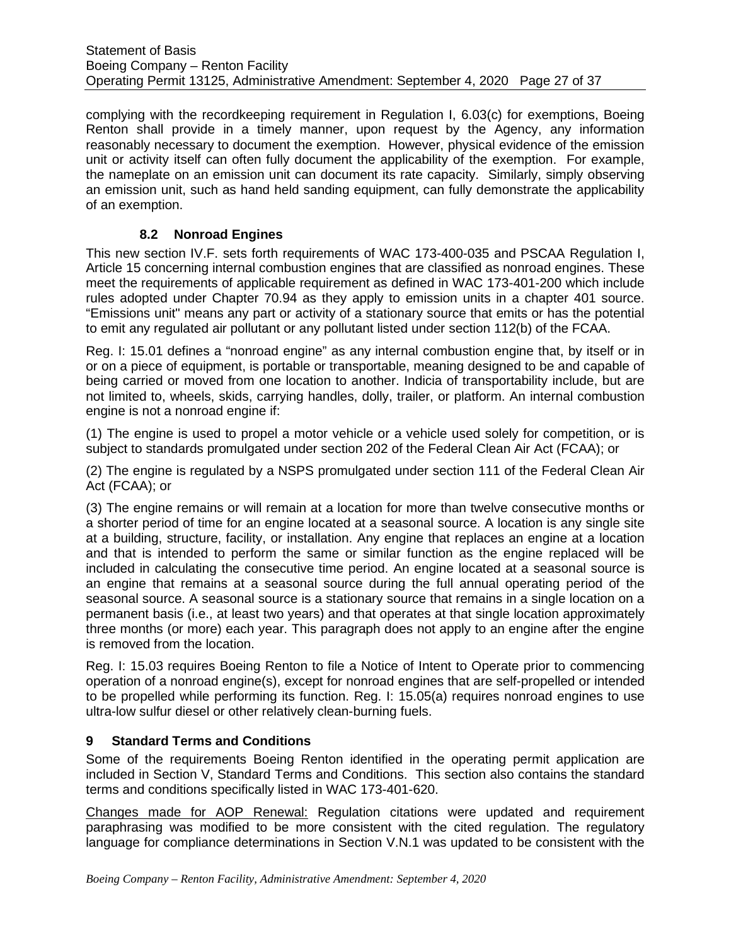complying with the recordkeeping requirement in Regulation I, 6.03(c) for exemptions, Boeing Renton shall provide in a timely manner, upon request by the Agency, any information reasonably necessary to document the exemption. However, physical evidence of the emission unit or activity itself can often fully document the applicability of the exemption. For example, the nameplate on an emission unit can document its rate capacity. Similarly, simply observing an emission unit, such as hand held sanding equipment, can fully demonstrate the applicability of an exemption.

# **8.2 Nonroad Engines**

<span id="page-26-0"></span>This new section IV.F. sets forth requirements of WAC 173-400-035 and PSCAA Regulation I, Article 15 concerning internal combustion engines that are classified as nonroad engines. These meet the requirements of applicable requirement as defined in WAC 173-401-200 which include rules adopted under Chapter 70.94 as they apply to emission units in a chapter 401 source. "Emissions unit" means any part or activity of a stationary source that emits or has the potential to emit any regulated air pollutant or any pollutant listed under section 112(b) of the FCAA.

Reg. I: 15.01 defines a "nonroad engine" as any internal combustion engine that, by itself or in or on a piece of equipment, is portable or transportable, meaning designed to be and capable of being carried or moved from one location to another. Indicia of transportability include, but are not limited to, wheels, skids, carrying handles, dolly, trailer, or platform. An internal combustion engine is not a nonroad engine if:

(1) The engine is used to propel a motor vehicle or a vehicle used solely for competition, or is subject to standards promulgated under section 202 of the Federal Clean Air Act (FCAA); or

(2) The engine is regulated by a NSPS promulgated under section 111 of the Federal Clean Air Act (FCAA); or

(3) The engine remains or will remain at a location for more than twelve consecutive months or a shorter period of time for an engine located at a seasonal source. A location is any single site at a building, structure, facility, or installation. Any engine that replaces an engine at a location and that is intended to perform the same or similar function as the engine replaced will be included in calculating the consecutive time period. An engine located at a seasonal source is an engine that remains at a seasonal source during the full annual operating period of the seasonal source. A seasonal source is a stationary source that remains in a single location on a permanent basis (i.e., at least two years) and that operates at that single location approximately three months (or more) each year. This paragraph does not apply to an engine after the engine is removed from the location.

Reg. I: 15.03 requires Boeing Renton to file a Notice of Intent to Operate prior to commencing operation of a nonroad engine(s), except for nonroad engines that are self-propelled or intended to be propelled while performing its function. Reg. I: 15.05(a) requires nonroad engines to use ultra-low sulfur diesel or other relatively clean-burning fuels.

# <span id="page-26-1"></span>**9 Standard Terms and Conditions**

Some of the requirements Boeing Renton identified in the operating permit application are included in Section V, Standard Terms and Conditions. This section also contains the standard terms and conditions specifically listed in WAC 173-401-620.

Changes made for AOP Renewal: Regulation citations were updated and requirement paraphrasing was modified to be more consistent with the cited regulation. The regulatory language for compliance determinations in Section V.N.1 was updated to be consistent with the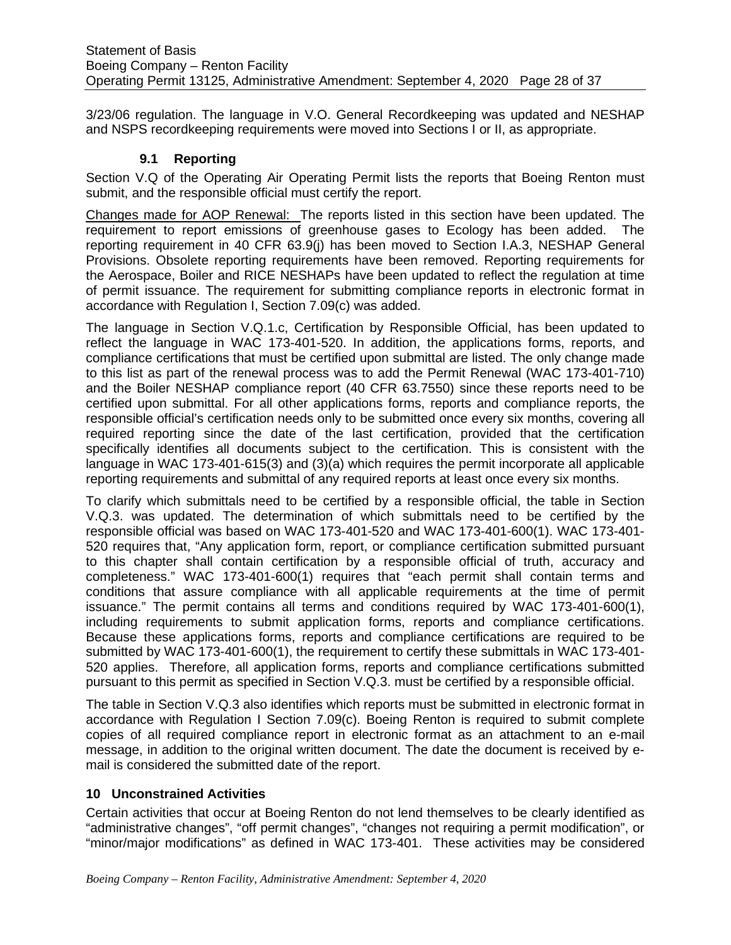3/23/06 regulation. The language in V.O. General Recordkeeping was updated and NESHAP and NSPS recordkeeping requirements were moved into Sections I or II, as appropriate.

#### **9.1 Reporting**

<span id="page-27-0"></span>Section V.Q of the Operating Air Operating Permit lists the reports that Boeing Renton must submit, and the responsible official must certify the report.

Changes made for AOP Renewal: The reports listed in this section have been updated. The requirement to report emissions of greenhouse gases to Ecology has been added. The reporting requirement in 40 CFR 63.9(j) has been moved to Section I.A.3, NESHAP General Provisions. Obsolete reporting requirements have been removed. Reporting requirements for the Aerospace, Boiler and RICE NESHAPs have been updated to reflect the regulation at time of permit issuance. The requirement for submitting compliance reports in electronic format in accordance with Regulation I, Section 7.09(c) was added.

The language in Section V.Q.1.c, Certification by Responsible Official, has been updated to reflect the language in WAC 173-401-520. In addition, the applications forms, reports, and compliance certifications that must be certified upon submittal are listed. The only change made to this list as part of the renewal process was to add the Permit Renewal (WAC 173-401-710) and the Boiler NESHAP compliance report (40 CFR 63.7550) since these reports need to be certified upon submittal. For all other applications forms, reports and compliance reports, the responsible official's certification needs only to be submitted once every six months, covering all required reporting since the date of the last certification, provided that the certification specifically identifies all documents subject to the certification. This is consistent with the language in WAC 173-401-615(3) and (3)(a) which requires the permit incorporate all applicable reporting requirements and submittal of any required reports at least once every six months.

To clarify which submittals need to be certified by a responsible official, the table in Section V.Q.3. was updated. The determination of which submittals need to be certified by the responsible official was based on WAC 173-401-520 and WAC 173-401-600(1). WAC 173-401- 520 requires that, "Any application form, report, or compliance certification submitted pursuant to this chapter shall contain certification by a responsible official of truth, accuracy and completeness." WAC 173-401-600(1) requires that "each permit shall contain terms and conditions that assure compliance with all applicable requirements at the time of permit issuance." The permit contains all terms and conditions required by WAC 173-401-600(1), including requirements to submit application forms, reports and compliance certifications. Because these applications forms, reports and compliance certifications are required to be submitted by WAC 173-401-600(1), the requirement to certify these submittals in WAC 173-401- 520 applies. Therefore, all application forms, reports and compliance certifications submitted pursuant to this permit as specified in Section V.Q.3. must be certified by a responsible official.

The table in Section V.Q.3 also identifies which reports must be submitted in electronic format in accordance with Regulation I Section 7.09(c). Boeing Renton is required to submit complete copies of all required compliance report in electronic format as an attachment to an e-mail message, in addition to the original written document. The date the document is received by email is considered the submitted date of the report.

# <span id="page-27-1"></span>**10 Unconstrained Activities**

Certain activities that occur at Boeing Renton do not lend themselves to be clearly identified as "administrative changes", "off permit changes", "changes not requiring a permit modification", or "minor/major modifications" as defined in WAC 173-401. These activities may be considered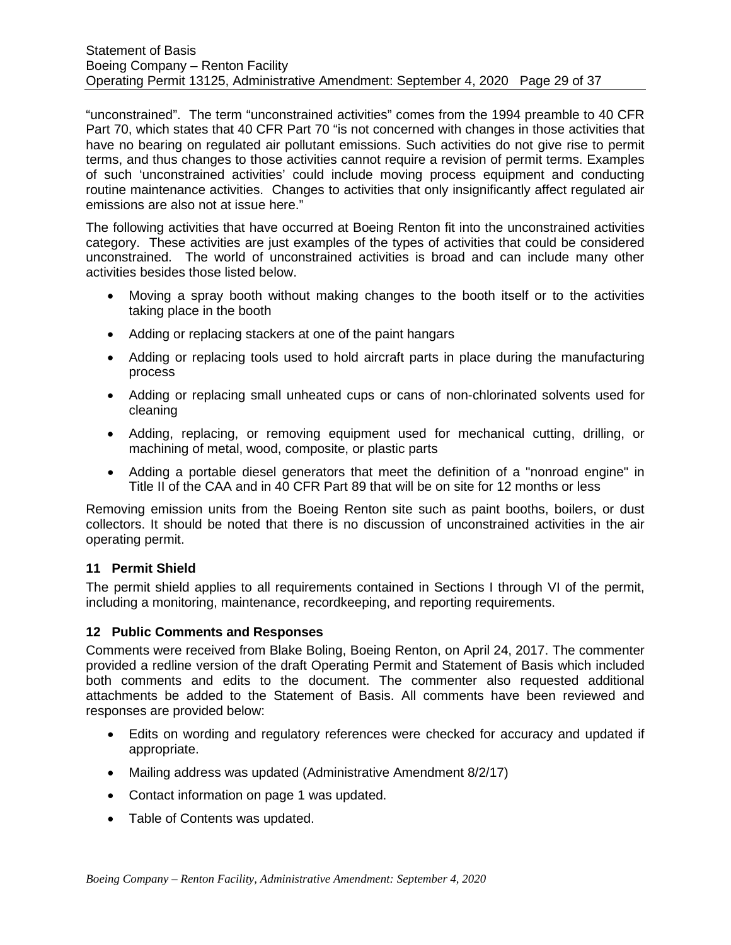"unconstrained". The term "unconstrained activities" comes from the 1994 preamble to 40 CFR Part 70, which states that 40 CFR Part 70 "is not concerned with changes in those activities that have no bearing on regulated air pollutant emissions. Such activities do not give rise to permit terms, and thus changes to those activities cannot require a revision of permit terms. Examples of such 'unconstrained activities' could include moving process equipment and conducting routine maintenance activities. Changes to activities that only insignificantly affect regulated air emissions are also not at issue here."

The following activities that have occurred at Boeing Renton fit into the unconstrained activities category. These activities are just examples of the types of activities that could be considered unconstrained. The world of unconstrained activities is broad and can include many other activities besides those listed below.

- Moving a spray booth without making changes to the booth itself or to the activities taking place in the booth
- Adding or replacing stackers at one of the paint hangars
- Adding or replacing tools used to hold aircraft parts in place during the manufacturing process
- Adding or replacing small unheated cups or cans of non-chlorinated solvents used for cleaning
- Adding, replacing, or removing equipment used for mechanical cutting, drilling, or machining of metal, wood, composite, or plastic parts
- Adding a portable diesel generators that meet the definition of a "nonroad engine" in Title II of the CAA and in 40 CFR Part 89 that will be on site for 12 months or less

Removing emission units from the Boeing Renton site such as paint booths, boilers, or dust collectors. It should be noted that there is no discussion of unconstrained activities in the air operating permit.

# <span id="page-28-0"></span>**11 Permit Shield**

The permit shield applies to all requirements contained in Sections I through VI of the permit, including a monitoring, maintenance, recordkeeping, and reporting requirements.

#### <span id="page-28-1"></span>**12 Public Comments and Responses**

Comments were received from Blake Boling, Boeing Renton, on April 24, 2017. The commenter provided a redline version of the draft Operating Permit and Statement of Basis which included both comments and edits to the document. The commenter also requested additional attachments be added to the Statement of Basis. All comments have been reviewed and responses are provided below:

- Edits on wording and regulatory references were checked for accuracy and updated if appropriate.
- Mailing address was updated (Administrative Amendment 8/2/17)
- Contact information on page 1 was updated.
- Table of Contents was updated.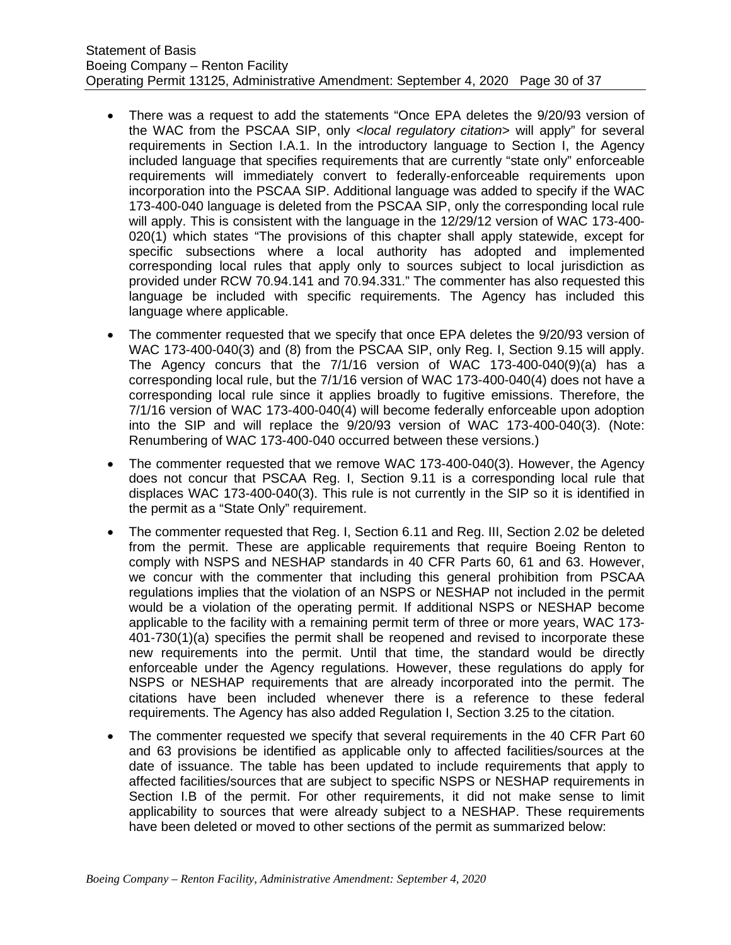- There was a request to add the statements "Once EPA deletes the 9/20/93 version of the WAC from the PSCAA SIP, only <*local regulatory citation*> will apply" for several requirements in Section I.A.1. In the introductory language to Section I, the Agency included language that specifies requirements that are currently "state only" enforceable requirements will immediately convert to federally-enforceable requirements upon incorporation into the PSCAA SIP. Additional language was added to specify if the WAC 173-400-040 language is deleted from the PSCAA SIP, only the corresponding local rule will apply. This is consistent with the language in the 12/29/12 version of WAC 173-400- 020(1) which states "The provisions of this chapter shall apply statewide, except for specific subsections where a local authority has adopted and implemented corresponding local rules that apply only to sources subject to local jurisdiction as provided under RCW 70.94.141 and 70.94.331." The commenter has also requested this language be included with specific requirements. The Agency has included this language where applicable.
- The commenter requested that we specify that once EPA deletes the 9/20/93 version of WAC 173-400-040(3) and (8) from the PSCAA SIP, only Reg. I. Section 9.15 will apply. The Agency concurs that the 7/1/16 version of WAC 173-400-040(9)(a) has a corresponding local rule, but the 7/1/16 version of WAC 173-400-040(4) does not have a corresponding local rule since it applies broadly to fugitive emissions. Therefore, the 7/1/16 version of WAC 173-400-040(4) will become federally enforceable upon adoption into the SIP and will replace the 9/20/93 version of WAC 173-400-040(3). (Note: Renumbering of WAC 173-400-040 occurred between these versions.)
- The commenter requested that we remove WAC 173-400-040(3). However, the Agency does not concur that PSCAA Reg. I, Section 9.11 is a corresponding local rule that displaces WAC 173-400-040(3). This rule is not currently in the SIP so it is identified in the permit as a "State Only" requirement.
- The commenter requested that Reg. I, Section 6.11 and Reg. III, Section 2.02 be deleted from the permit. These are applicable requirements that require Boeing Renton to comply with NSPS and NESHAP standards in 40 CFR Parts 60, 61 and 63. However, we concur with the commenter that including this general prohibition from PSCAA regulations implies that the violation of an NSPS or NESHAP not included in the permit would be a violation of the operating permit. If additional NSPS or NESHAP become applicable to the facility with a remaining permit term of three or more years, WAC 173- 401-730(1)(a) specifies the permit shall be reopened and revised to incorporate these new requirements into the permit. Until that time, the standard would be directly enforceable under the Agency regulations. However, these regulations do apply for NSPS or NESHAP requirements that are already incorporated into the permit. The citations have been included whenever there is a reference to these federal requirements. The Agency has also added Regulation I, Section 3.25 to the citation.
- The commenter requested we specify that several requirements in the 40 CFR Part 60 and 63 provisions be identified as applicable only to affected facilities/sources at the date of issuance. The table has been updated to include requirements that apply to affected facilities/sources that are subject to specific NSPS or NESHAP requirements in Section I.B of the permit. For other requirements, it did not make sense to limit applicability to sources that were already subject to a NESHAP. These requirements have been deleted or moved to other sections of the permit as summarized below: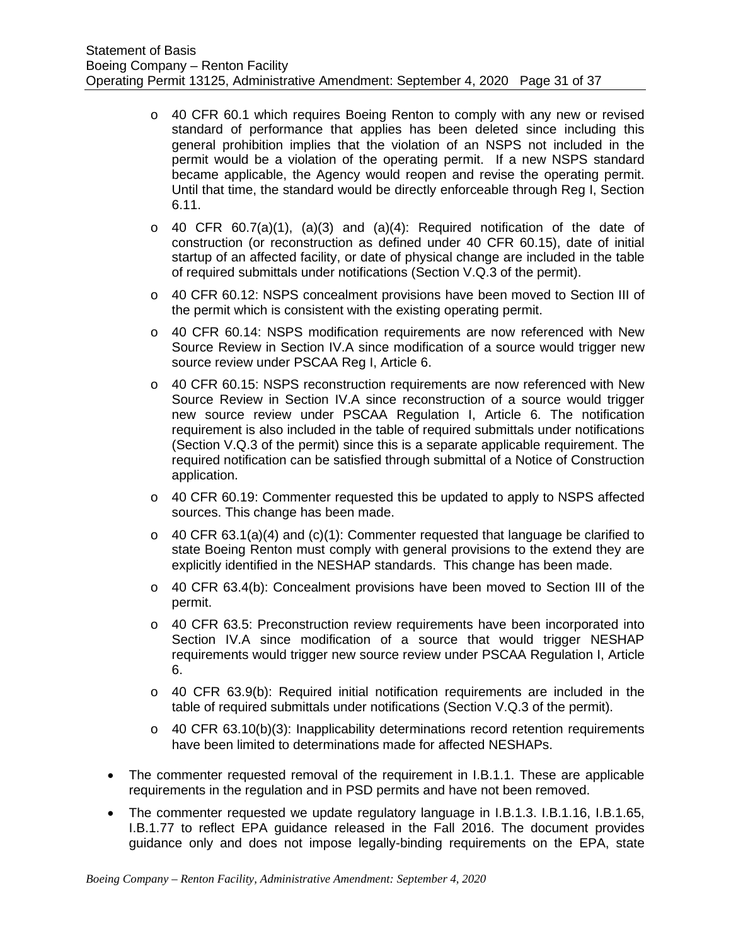- o 40 CFR 60.1 which requires Boeing Renton to comply with any new or revised standard of performance that applies has been deleted since including this general prohibition implies that the violation of an NSPS not included in the permit would be a violation of the operating permit. If a new NSPS standard became applicable, the Agency would reopen and revise the operating permit. Until that time, the standard would be directly enforceable through Reg I, Section 6.11.
- $\circ$  40 CFR 60.7(a)(1), (a)(3) and (a)(4): Required notification of the date of construction (or reconstruction as defined under 40 CFR 60.15), date of initial startup of an affected facility, or date of physical change are included in the table of required submittals under notifications (Section V.Q.3 of the permit).
- o 40 CFR 60.12: NSPS concealment provisions have been moved to Section III of the permit which is consistent with the existing operating permit.
- o 40 CFR 60.14: NSPS modification requirements are now referenced with New Source Review in Section IV.A since modification of a source would trigger new source review under PSCAA Reg I, Article 6.
- o 40 CFR 60.15: NSPS reconstruction requirements are now referenced with New Source Review in Section IV.A since reconstruction of a source would trigger new source review under PSCAA Regulation I, Article 6. The notification requirement is also included in the table of required submittals under notifications (Section V.Q.3 of the permit) since this is a separate applicable requirement. The required notification can be satisfied through submittal of a Notice of Construction application.
- $\circ$  40 CFR 60.19: Commenter requested this be updated to apply to NSPS affected sources. This change has been made.
- $\circ$  40 CFR 63.1(a)(4) and (c)(1): Commenter requested that language be clarified to state Boeing Renton must comply with general provisions to the extend they are explicitly identified in the NESHAP standards. This change has been made.
- $\circ$  40 CFR 63.4(b): Concealment provisions have been moved to Section III of the permit.
- $\circ$  40 CFR 63.5: Preconstruction review requirements have been incorporated into Section IV.A since modification of a source that would trigger NESHAP requirements would trigger new source review under PSCAA Regulation I, Article 6.
- $\circ$  40 CFR 63.9(b): Required initial notification requirements are included in the table of required submittals under notifications (Section V.Q.3 of the permit).
- $\circ$  40 CFR 63.10(b)(3): Inapplicability determinations record retention requirements have been limited to determinations made for affected NESHAPs.
- The commenter requested removal of the requirement in I.B.1.1. These are applicable requirements in the regulation and in PSD permits and have not been removed.
- The commenter requested we update regulatory language in I.B.1.3. I.B.1.16, I.B.1.65, I.B.1.77 to reflect EPA guidance released in the Fall 2016. The document provides guidance only and does not impose legally-binding requirements on the EPA, state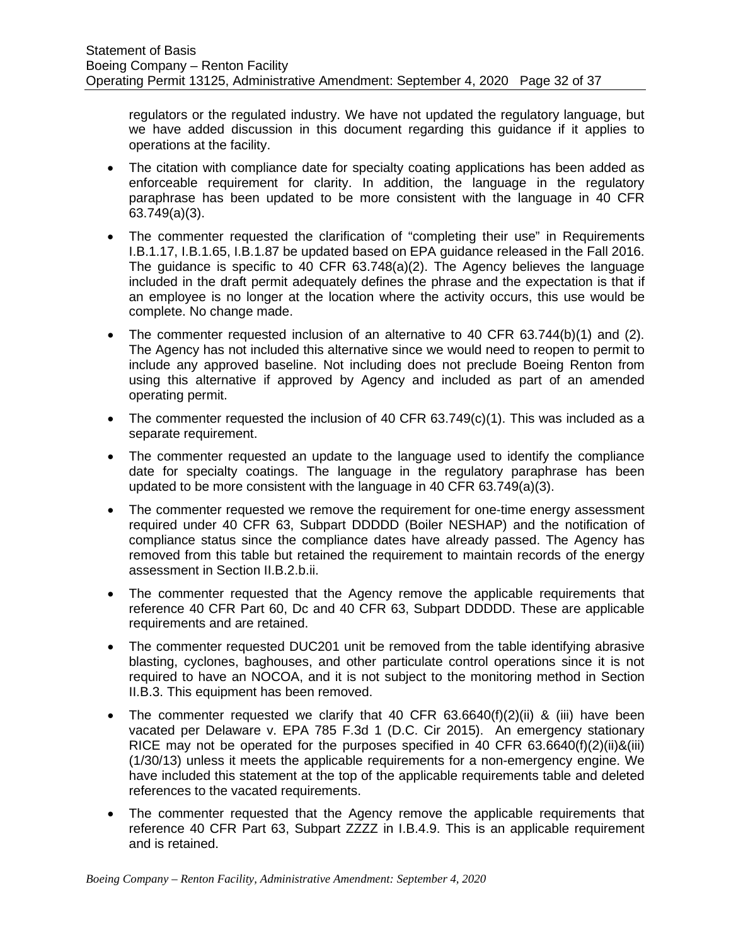regulators or the regulated industry. We have not updated the regulatory language, but we have added discussion in this document regarding this guidance if it applies to operations at the facility.

- The citation with compliance date for specialty coating applications has been added as enforceable requirement for clarity. In addition, the language in the regulatory paraphrase has been updated to be more consistent with the language in 40 CFR 63.749(a)(3).
- The commenter requested the clarification of "completing their use" in Requirements I.B.1.17, I.B.1.65, I.B.1.87 be updated based on EPA guidance released in the Fall 2016. The guidance is specific to 40 CFR 63.748(a)(2). The Agency believes the language included in the draft permit adequately defines the phrase and the expectation is that if an employee is no longer at the location where the activity occurs, this use would be complete. No change made.
- The commenter requested inclusion of an alternative to 40 CFR 63.744(b)(1) and (2). The Agency has not included this alternative since we would need to reopen to permit to include any approved baseline. Not including does not preclude Boeing Renton from using this alternative if approved by Agency and included as part of an amended operating permit.
- The commenter requested the inclusion of 40 CFR  $63.749(c)(1)$ . This was included as a separate requirement.
- The commenter requested an update to the language used to identify the compliance date for specialty coatings. The language in the regulatory paraphrase has been updated to be more consistent with the language in 40 CFR 63.749(a)(3).
- The commenter requested we remove the requirement for one-time energy assessment required under 40 CFR 63, Subpart DDDDD (Boiler NESHAP) and the notification of compliance status since the compliance dates have already passed. The Agency has removed from this table but retained the requirement to maintain records of the energy assessment in Section II.B.2.b.ii.
- The commenter requested that the Agency remove the applicable requirements that reference 40 CFR Part 60, Dc and 40 CFR 63, Subpart DDDDD. These are applicable requirements and are retained.
- The commenter requested DUC201 unit be removed from the table identifying abrasive blasting, cyclones, baghouses, and other particulate control operations since it is not required to have an NOCOA, and it is not subject to the monitoring method in Section II.B.3. This equipment has been removed.
- The commenter requested we clarify that 40 CFR  $63.6640(f)(2)(ii)$  & (iii) have been vacated per Delaware v. EPA 785 F.3d 1 (D.C. Cir 2015). An emergency stationary RICE may not be operated for the purposes specified in 40 CFR  $63.6640(f)(2)(ii)$ &(iii) (1/30/13) unless it meets the applicable requirements for a non-emergency engine. We have included this statement at the top of the applicable requirements table and deleted references to the vacated requirements.
- The commenter requested that the Agency remove the applicable requirements that reference 40 CFR Part 63, Subpart ZZZZ in I.B.4.9. This is an applicable requirement and is retained.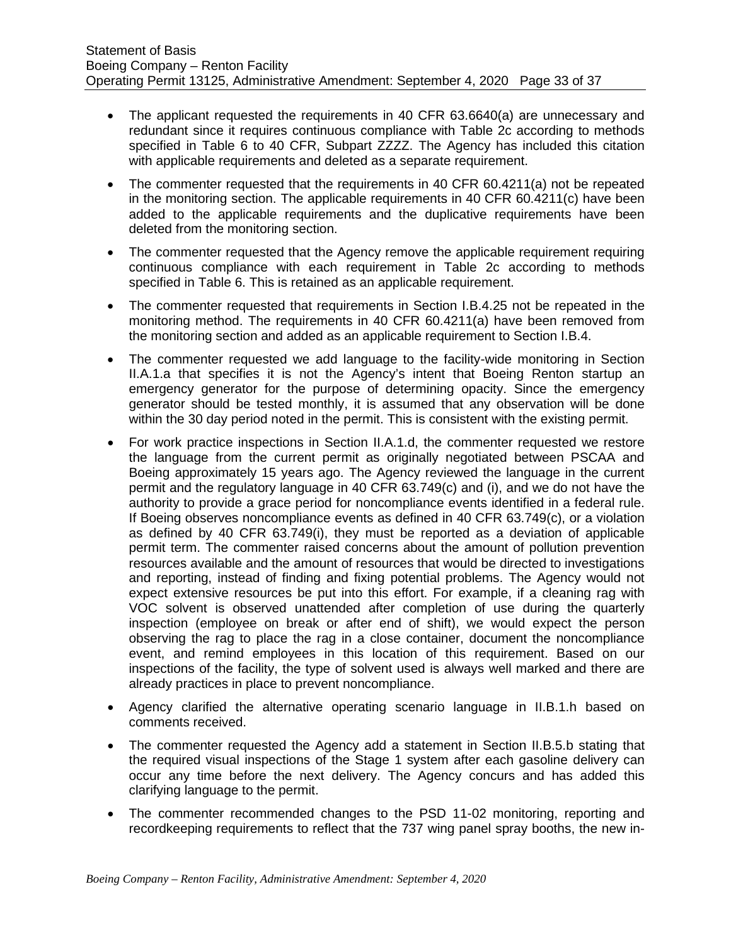- The applicant requested the requirements in 40 CFR 63.6640(a) are unnecessary and redundant since it requires continuous compliance with Table 2c according to methods specified in Table 6 to 40 CFR, Subpart ZZZZ. The Agency has included this citation with applicable requirements and deleted as a separate requirement.
- The commenter requested that the requirements in 40 CFR 60.4211(a) not be repeated in the monitoring section. The applicable requirements in 40 CFR 60.4211(c) have been added to the applicable requirements and the duplicative requirements have been deleted from the monitoring section.
- The commenter requested that the Agency remove the applicable requirement requiring continuous compliance with each requirement in Table 2c according to methods specified in Table 6. This is retained as an applicable requirement.
- The commenter requested that requirements in Section I.B.4.25 not be repeated in the monitoring method. The requirements in 40 CFR 60.4211(a) have been removed from the monitoring section and added as an applicable requirement to Section I.B.4.
- The commenter requested we add language to the facility-wide monitoring in Section II.A.1.a that specifies it is not the Agency's intent that Boeing Renton startup an emergency generator for the purpose of determining opacity. Since the emergency generator should be tested monthly, it is assumed that any observation will be done within the 30 day period noted in the permit. This is consistent with the existing permit.
- For work practice inspections in Section II.A.1.d, the commenter requested we restore the language from the current permit as originally negotiated between PSCAA and Boeing approximately 15 years ago. The Agency reviewed the language in the current permit and the regulatory language in 40 CFR 63.749(c) and (i), and we do not have the authority to provide a grace period for noncompliance events identified in a federal rule. If Boeing observes noncompliance events as defined in 40 CFR 63.749(c), or a violation as defined by 40 CFR 63.749(i), they must be reported as a deviation of applicable permit term. The commenter raised concerns about the amount of pollution prevention resources available and the amount of resources that would be directed to investigations and reporting, instead of finding and fixing potential problems. The Agency would not expect extensive resources be put into this effort. For example, if a cleaning rag with VOC solvent is observed unattended after completion of use during the quarterly inspection (employee on break or after end of shift), we would expect the person observing the rag to place the rag in a close container, document the noncompliance event, and remind employees in this location of this requirement. Based on our inspections of the facility, the type of solvent used is always well marked and there are already practices in place to prevent noncompliance.
- Agency clarified the alternative operating scenario language in II.B.1.h based on comments received.
- The commenter requested the Agency add a statement in Section II.B.5.b stating that the required visual inspections of the Stage 1 system after each gasoline delivery can occur any time before the next delivery. The Agency concurs and has added this clarifying language to the permit.
- The commenter recommended changes to the PSD 11-02 monitoring, reporting and recordkeeping requirements to reflect that the 737 wing panel spray booths, the new in-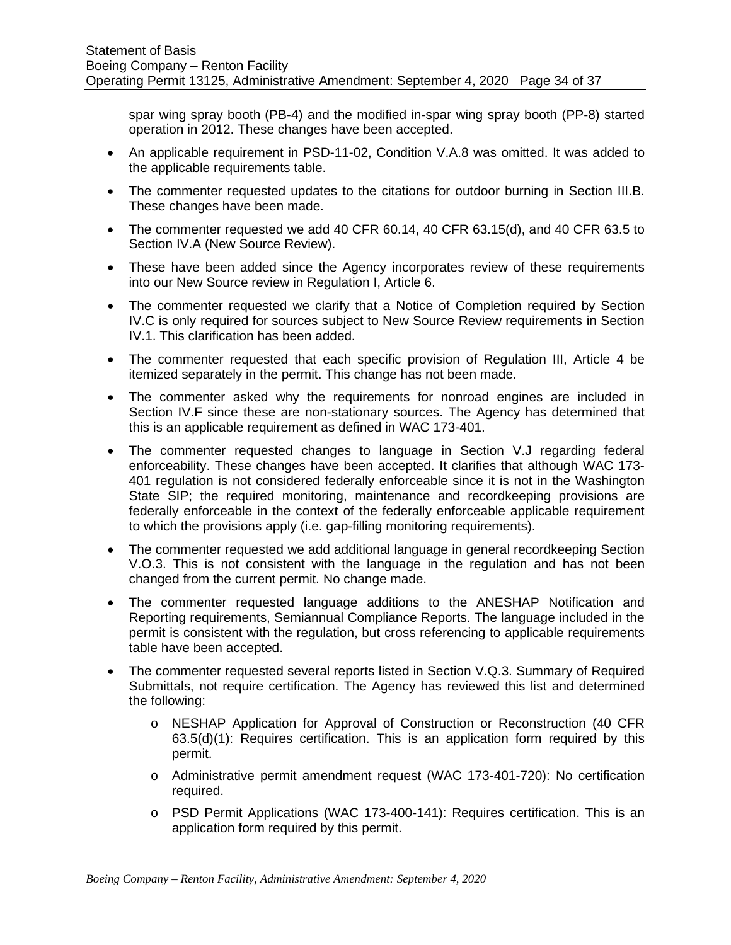spar wing spray booth (PB-4) and the modified in-spar wing spray booth (PP-8) started operation in 2012. These changes have been accepted.

- An applicable requirement in PSD-11-02, Condition V.A.8 was omitted. It was added to the applicable requirements table.
- The commenter requested updates to the citations for outdoor burning in Section III.B. These changes have been made.
- The commenter requested we add 40 CFR 60.14, 40 CFR 63.15(d), and 40 CFR 63.5 to Section IV.A (New Source Review).
- These have been added since the Agency incorporates review of these requirements into our New Source review in Regulation I, Article 6.
- The commenter requested we clarify that a Notice of Completion required by Section IV.C is only required for sources subject to New Source Review requirements in Section IV.1. This clarification has been added.
- The commenter requested that each specific provision of Regulation III, Article 4 be itemized separately in the permit. This change has not been made.
- The commenter asked why the requirements for nonroad engines are included in Section IV.F since these are non-stationary sources. The Agency has determined that this is an applicable requirement as defined in WAC 173-401.
- The commenter requested changes to language in Section V.J regarding federal enforceability. These changes have been accepted. It clarifies that although WAC 173- 401 regulation is not considered federally enforceable since it is not in the Washington State SIP; the required monitoring, maintenance and recordkeeping provisions are federally enforceable in the context of the federally enforceable applicable requirement to which the provisions apply (i.e. gap-filling monitoring requirements).
- The commenter requested we add additional language in general recordkeeping Section V.O.3. This is not consistent with the language in the regulation and has not been changed from the current permit. No change made.
- The commenter requested language additions to the ANESHAP Notification and Reporting requirements, Semiannual Compliance Reports. The language included in the permit is consistent with the regulation, but cross referencing to applicable requirements table have been accepted.
- The commenter requested several reports listed in Section V.Q.3. Summary of Required Submittals, not require certification. The Agency has reviewed this list and determined the following:
	- o NESHAP Application for Approval of Construction or Reconstruction (40 CFR  $63.5(d)(1)$ : Requires certification. This is an application form required by this permit.
	- o Administrative permit amendment request (WAC 173-401-720): No certification required.
	- o PSD Permit Applications (WAC 173-400-141): Requires certification. This is an application form required by this permit.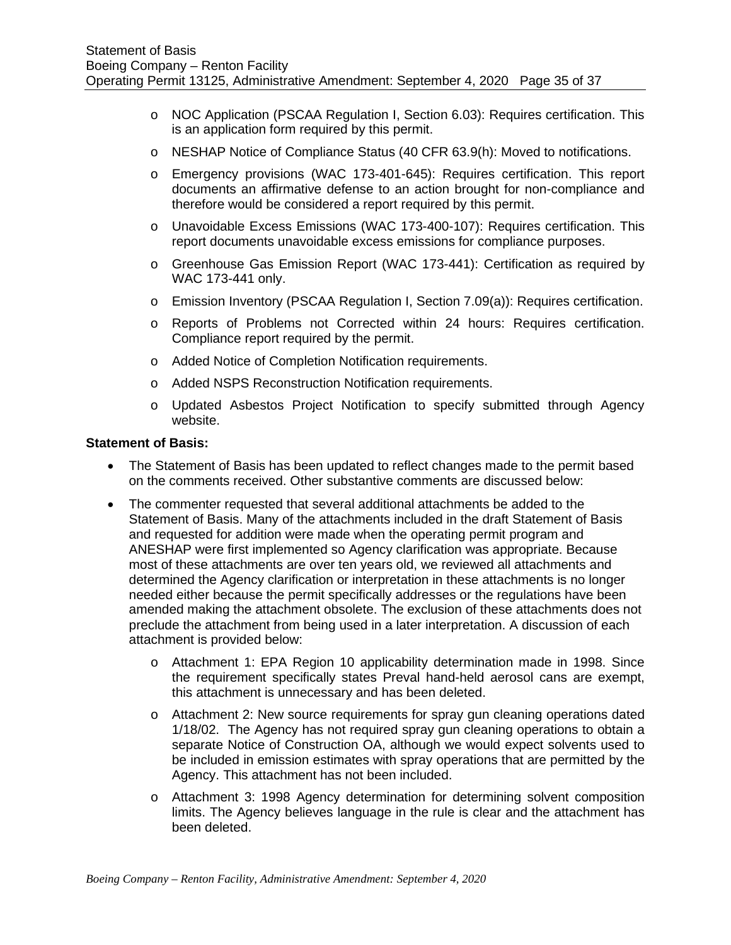- o NOC Application (PSCAA Regulation I, Section 6.03): Requires certification. This is an application form required by this permit.
- o NESHAP Notice of Compliance Status (40 CFR 63.9(h): Moved to notifications.
- o Emergency provisions (WAC 173-401-645): Requires certification. This report documents an affirmative defense to an action brought for non-compliance and therefore would be considered a report required by this permit.
- o Unavoidable Excess Emissions (WAC 173-400-107): Requires certification. This report documents unavoidable excess emissions for compliance purposes.
- o Greenhouse Gas Emission Report (WAC 173-441): Certification as required by WAC 173-441 only.
- o Emission Inventory (PSCAA Regulation I, Section 7.09(a)): Requires certification.
- o Reports of Problems not Corrected within 24 hours: Requires certification. Compliance report required by the permit.
- o Added Notice of Completion Notification requirements.
- o Added NSPS Reconstruction Notification requirements.
- o Updated Asbestos Project Notification to specify submitted through Agency website.

#### **Statement of Basis:**

- The Statement of Basis has been updated to reflect changes made to the permit based on the comments received. Other substantive comments are discussed below:
- The commenter requested that several additional attachments be added to the Statement of Basis. Many of the attachments included in the draft Statement of Basis and requested for addition were made when the operating permit program and ANESHAP were first implemented so Agency clarification was appropriate. Because most of these attachments are over ten years old, we reviewed all attachments and determined the Agency clarification or interpretation in these attachments is no longer needed either because the permit specifically addresses or the regulations have been amended making the attachment obsolete. The exclusion of these attachments does not preclude the attachment from being used in a later interpretation. A discussion of each attachment is provided below:
	- o Attachment 1: EPA Region 10 applicability determination made in 1998. Since the requirement specifically states Preval hand-held aerosol cans are exempt, this attachment is unnecessary and has been deleted.
	- o Attachment 2: New source requirements for spray gun cleaning operations dated 1/18/02. The Agency has not required spray gun cleaning operations to obtain a separate Notice of Construction OA, although we would expect solvents used to be included in emission estimates with spray operations that are permitted by the Agency. This attachment has not been included.
	- o Attachment 3: 1998 Agency determination for determining solvent composition limits. The Agency believes language in the rule is clear and the attachment has been deleted.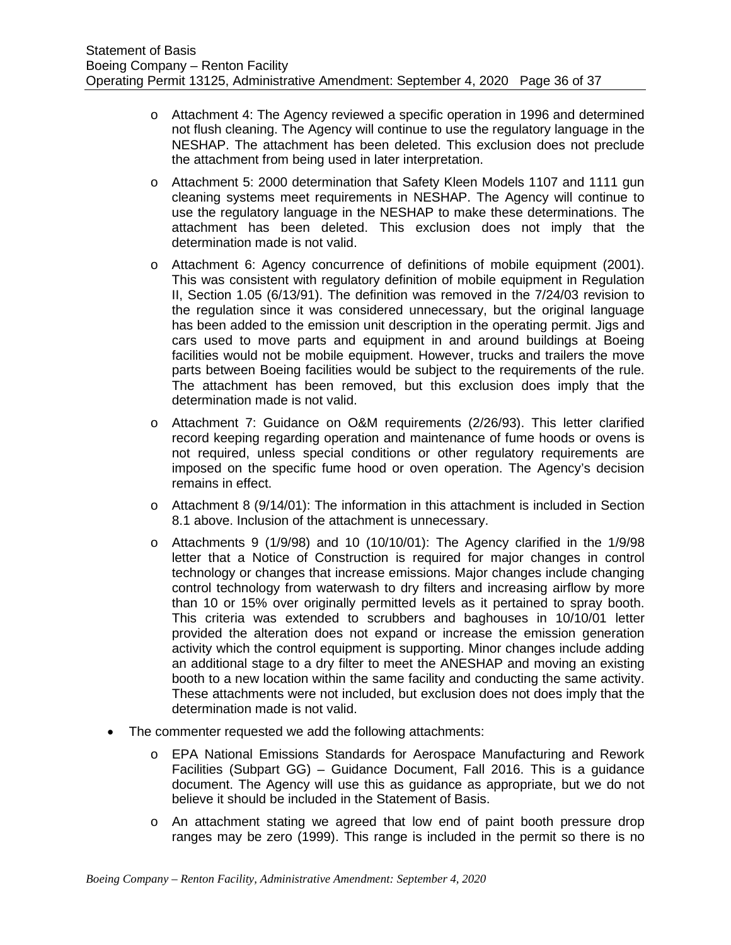- o Attachment 4: The Agency reviewed a specific operation in 1996 and determined not flush cleaning. The Agency will continue to use the regulatory language in the NESHAP. The attachment has been deleted. This exclusion does not preclude the attachment from being used in later interpretation.
- o Attachment 5: 2000 determination that Safety Kleen Models 1107 and 1111 gun cleaning systems meet requirements in NESHAP. The Agency will continue to use the regulatory language in the NESHAP to make these determinations. The attachment has been deleted. This exclusion does not imply that the determination made is not valid.
- o Attachment 6: Agency concurrence of definitions of mobile equipment (2001). This was consistent with regulatory definition of mobile equipment in Regulation II, Section 1.05 (6/13/91). The definition was removed in the 7/24/03 revision to the regulation since it was considered unnecessary, but the original language has been added to the emission unit description in the operating permit. Jigs and cars used to move parts and equipment in and around buildings at Boeing facilities would not be mobile equipment. However, trucks and trailers the move parts between Boeing facilities would be subject to the requirements of the rule. The attachment has been removed, but this exclusion does imply that the determination made is not valid.
- o Attachment 7: Guidance on O&M requirements (2/26/93). This letter clarified record keeping regarding operation and maintenance of fume hoods or ovens is not required, unless special conditions or other regulatory requirements are imposed on the specific fume hood or oven operation. The Agency's decision remains in effect.
- $\circ$  Attachment 8 (9/14/01): The information in this attachment is included in Section 8.1 above. Inclusion of the attachment is unnecessary.
- $\circ$  Attachments 9 (1/9/98) and 10 (10/10/01): The Agency clarified in the 1/9/98 letter that a Notice of Construction is required for major changes in control technology or changes that increase emissions. Major changes include changing control technology from waterwash to dry filters and increasing airflow by more than 10 or 15% over originally permitted levels as it pertained to spray booth. This criteria was extended to scrubbers and baghouses in 10/10/01 letter provided the alteration does not expand or increase the emission generation activity which the control equipment is supporting. Minor changes include adding an additional stage to a dry filter to meet the ANESHAP and moving an existing booth to a new location within the same facility and conducting the same activity. These attachments were not included, but exclusion does not does imply that the determination made is not valid.
- The commenter requested we add the following attachments:
	- o EPA National Emissions Standards for Aerospace Manufacturing and Rework Facilities (Subpart GG) – Guidance Document, Fall 2016. This is a guidance document. The Agency will use this as guidance as appropriate, but we do not believe it should be included in the Statement of Basis.
	- o An attachment stating we agreed that low end of paint booth pressure drop ranges may be zero (1999). This range is included in the permit so there is no